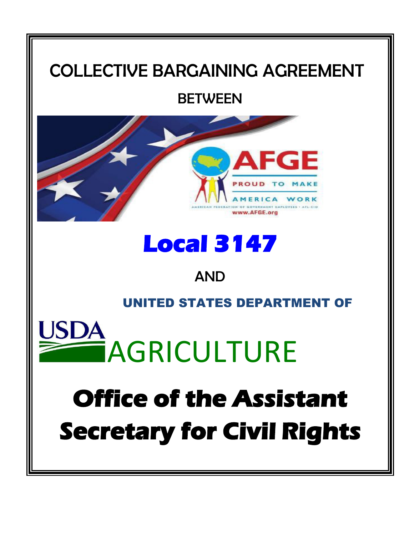## COLLECTIVE BARGAINING AGREEMENT

## **BETWEEN**



# **Local 3147**

## AND

### UNITED STATES DEPARTMENT OF



# **Office of the Assistant Secretary for Civil Rights**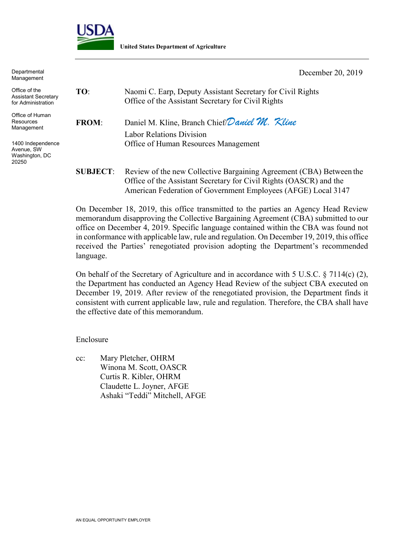

**United States Department of Agriculture**

| Departmental<br>Management                                 |                 | December 20, 2019                                                                                                                                                                                          |
|------------------------------------------------------------|-----------------|------------------------------------------------------------------------------------------------------------------------------------------------------------------------------------------------------------|
| Office of the<br>Assistant Secretary<br>for Administration | TO:             | Naomi C. Earp, Deputy Assistant Secretary for Civil Rights<br>Office of the Assistant Secretary for Civil Rights                                                                                           |
| Office of Human<br>Resources<br>Management                 | <b>FROM:</b>    | Daniel M. Kline, Branch Chief Daniel M. Kline<br><b>Labor Relations Division</b>                                                                                                                           |
| 1400 Independence<br>Avenue, SW<br>Washington, DC<br>20250 |                 | Office of Human Resources Management                                                                                                                                                                       |
|                                                            | <b>SUBJECT:</b> | Review of the new Collective Bargaining Agreement (CBA) Between the<br>Office of the Assistant Secretary for Civil Rights (OASCR) and the<br>American Federation of Government Employees (AFGE) Local 3147 |

On December 18, 2019, this office transmitted to the parties an Agency Head Review memorandum disapproving the Collective Bargaining Agreement (CBA) submitted to our office on December 4, 2019. Specific language contained within the CBA was found not in conformance with applicable law, rule and regulation. On December 19, 2019, this office received the Parties' renegotiated provision adopting the Department's recommended language.

On behalf of the Secretary of Agriculture and in accordance with 5 U.S.C. § 7114(c) (2), the Department has conducted an Agency Head Review of the subject CBA executed on December 19, 2019. After review of the renegotiated provision, the Department finds it consistent with current applicable law, rule and regulation. Therefore, the CBA shall have the effective date of this memorandum.

Enclosure

cc: Mary Pletcher, OHRM Winona M. Scott, OASCR Curtis R. Kibler, OHRM Claudette L. Joyner, AFGE Ashaki "Teddi" Mitchell, AFGE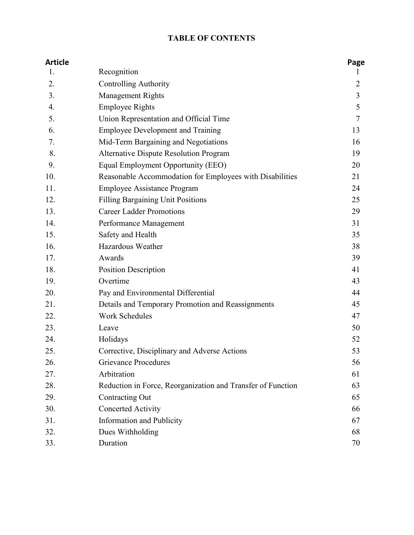#### **TABLE OF CONTENTS**

| <b>Article</b> |                                                             | Page           |
|----------------|-------------------------------------------------------------|----------------|
| 1.             | Recognition                                                 | T              |
| 2.             | <b>Controlling Authority</b>                                | $\overline{2}$ |
| 3.             | Management Rights                                           | 3              |
| 4.             | <b>Employee Rights</b>                                      | 5              |
| 5.             | Union Representation and Official Time                      | $\overline{7}$ |
| 6.             | <b>Employee Development and Training</b>                    | 13             |
| 7.             | Mid-Term Bargaining and Negotiations                        | 16             |
| 8.             | <b>Alternative Dispute Resolution Program</b>               | 19             |
| 9.             | Equal Employment Opportunity (EEO)                          | 20             |
| 10.            | Reasonable Accommodation for Employees with Disabilities    | 21             |
| 11.            | <b>Employee Assistance Program</b>                          | 24             |
| 12.            | <b>Filling Bargaining Unit Positions</b>                    | 25             |
| 13.            | <b>Career Ladder Promotions</b>                             | 29             |
| 14.            | Performance Management                                      | 31             |
| 15.            | Safety and Health                                           | 35             |
| 16.            | Hazardous Weather                                           | 38             |
| 17.            | Awards                                                      | 39             |
| 18.            | <b>Position Description</b>                                 | 41             |
| 19.            | Overtime                                                    | 43             |
| 20.            | Pay and Environmental Differential                          | 44             |
| 21.            | Details and Temporary Promotion and Reassignments           | 45             |
| 22.            | <b>Work Schedules</b>                                       | 47             |
| 23.            | Leave                                                       | 50             |
| 24.            | Holidays                                                    | 52             |
| 25.            | Corrective, Disciplinary and Adverse Actions                | 53             |
| 26.            | <b>Grievance Procedures</b>                                 | 56             |
| 27.            | Arbitration                                                 | 61             |
| 28.            | Reduction in Force, Reorganization and Transfer of Function | 63             |
| 29.            | Contracting Out                                             | 65             |
| 30.            | Concerted Activity                                          | 66             |
| 31.            | <b>Information and Publicity</b>                            | 67             |
| 32.            | Dues Withholding                                            | 68             |
| 33.            | Duration                                                    | 70             |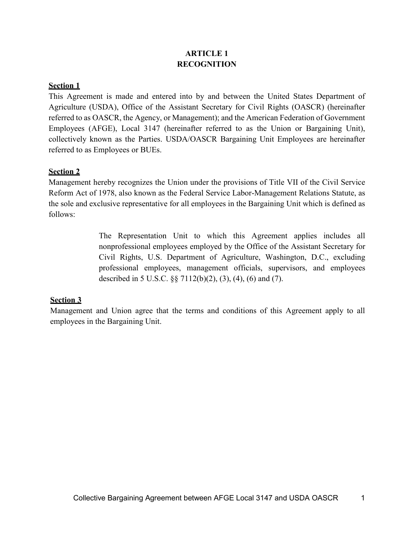#### **ARTICLE 1 RECOGNITION**

#### **Section 1**

This Agreement is made and entered into by and between the United States Department of Agriculture (USDA), Office of the Assistant Secretary for Civil Rights (OASCR) (hereinafter referred to as OASCR, the Agency, or Management); and the American Federation of Government Employees (AFGE), Local 3147 (hereinafter referred to as the Union or Bargaining Unit), collectively known as the Parties. USDA/OASCR Bargaining Unit Employees are hereinafter referred to as Employees or BUEs.

#### **Section 2**

Management hereby recognizes the Union under the provisions of Title VII of the Civil Service Reform Act of 1978, also known as the Federal Service Labor-Management Relations Statute, as the sole and exclusive representative for all employees in the Bargaining Unit which is defined as follows:

> The Representation Unit to which this Agreement applies includes all nonprofessional employees employed by the Office of the Assistant Secretary for Civil Rights, U.S. Department of Agriculture, Washington, D.C., excluding professional employees, management officials, supervisors, and employees described in 5 U.S.C. §§ 7112(b)(2), (3), (4), (6) and (7).

#### **Section 3**

Management and Union agree that the terms and conditions of this Agreement apply to all employees in the Bargaining Unit.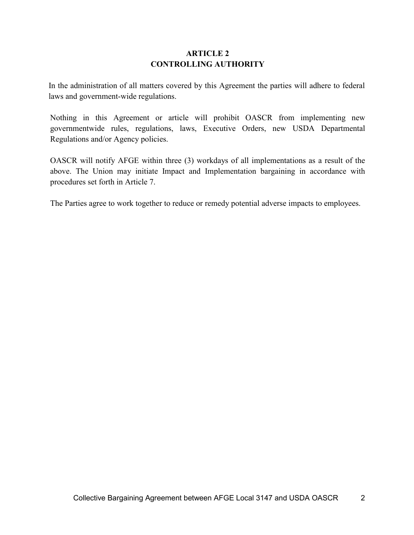#### **ARTICLE 2 CONTROLLING AUTHORITY**

In the administration of all matters covered by this Agreement the parties will adhere to federal laws and government-wide regulations.

Nothing in this Agreement or article will prohibit OASCR from implementing new governmentwide rules, regulations, laws, Executive Orders, new USDA Departmental Regulations and/or Agency policies.

OASCR will notify AFGE within three (3) workdays of all implementations as a result of the above. The Union may initiate Impact and Implementation bargaining in accordance with procedures set forth in Article 7.

The Parties agree to work together to reduce or remedy potential adverse impacts to employees.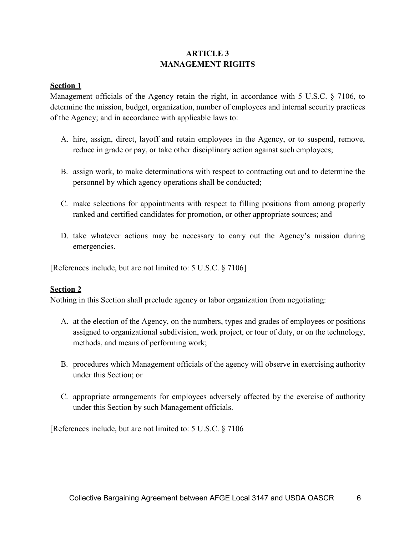#### **ARTICLE 3 MANAGEMENT RIGHTS**

#### **Section 1**

Management officials of the Agency retain the right, in accordance with 5 U.S.C. § 7106, to determine the mission, budget, organization, number of employees and internal security practices of the Agency; and in accordance with applicable laws to:

- A. hire, assign, direct, layoff and retain employees in the Agency, or to suspend, remove, reduce in grade or pay, or take other disciplinary action against such employees;
- B. assign work, to make determinations with respect to contracting out and to determine the personnel by which agency operations shall be conducted;
- C. make selections for appointments with respect to filling positions from among properly ranked and certified candidates for promotion, or other appropriate sources; and
- D. take whatever actions may be necessary to carry out the Agency's mission during emergencies.

[References include, but are not limited to: 5 U.S.C. § 7106]

#### **Section 2**

Nothing in this Section shall preclude agency or labor organization from negotiating:

- A. at the election of the Agency, on the numbers, types and grades of employees or positions assigned to organizational subdivision, work project, or tour of duty, or on the technology, methods, and means of performing work;
- B. procedures which Management officials of the agency will observe in exercising authority under this Section; or
- C. appropriate arrangements for employees adversely affected by the exercise of authority under this Section by such Management officials.

[References include, but are not limited to: 5 U.S.C. § 7106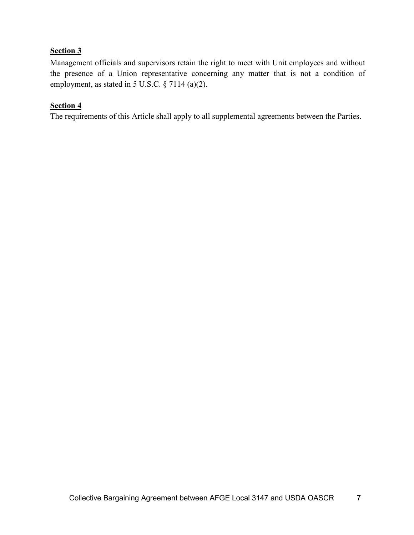#### **Section 3**

Management officials and supervisors retain the right to meet with Unit employees and without the presence of a Union representative concerning any matter that is not a condition of employment, as stated in 5 U.S.C. § 7114 (a)(2).

#### **Section 4**

The requirements of this Article shall apply to all supplemental agreements between the Parties.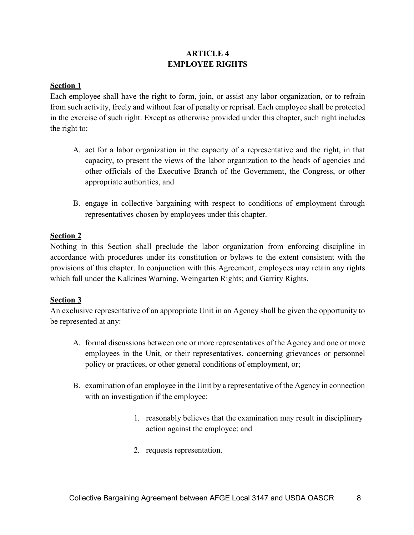#### **ARTICLE 4 EMPLOYEE RIGHTS**

#### **Section 1**

Each employee shall have the right to form, join, or assist any labor organization, or to refrain from such activity, freely and without fear of penalty or reprisal. Each employee shall be protected in the exercise of such right. Except as otherwise provided under this chapter, such right includes the right to:

- A. act for a labor organization in the capacity of a representative and the right, in that capacity, to present the views of the labor organization to the heads of agencies and other officials of the Executive Branch of the Government, the Congress, or other appropriate authorities, and
- B. engage in collective bargaining with respect to conditions of employment through representatives chosen by employees under this chapter.

#### **Section 2**

Nothing in this Section shall preclude the labor organization from enforcing discipline in accordance with procedures under its constitution or bylaws to the extent consistent with the provisions of this chapter. In conjunction with this Agreement, employees may retain any rights which fall under the Kalkines Warning, Weingarten Rights; and Garrity Rights.

#### **Section 3**

An exclusive representative of an appropriate Unit in an Agency shall be given the opportunity to be represented at any:

- A. formal discussions between one or more representatives of the Agency and one or more employees in the Unit, or their representatives, concerning grievances or personnel policy or practices, or other general conditions of employment, or;
- B. examination of an employee in the Unit by a representative of the Agency in connection with an investigation if the employee:
	- 1. reasonably believes that the examination may result in disciplinary action against the employee; and
	- 2. requests representation.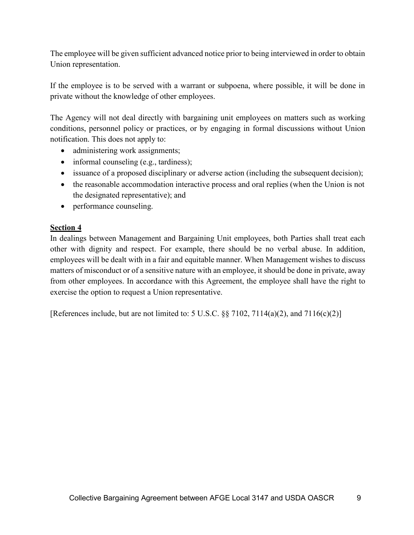The employee will be given sufficient advanced notice prior to being interviewed in order to obtain Union representation.

If the employee is to be served with a warrant or subpoena, where possible, it will be done in private without the knowledge of other employees.

The Agency will not deal directly with bargaining unit employees on matters such as working conditions, personnel policy or practices, or by engaging in formal discussions without Union notification. This does not apply to:

- administering work assignments;
- informal counseling (e.g., tardiness);
- issuance of a proposed disciplinary or adverse action (including the subsequent decision);
- the reasonable accommodation interactive process and oral replies (when the Union is not the designated representative); and
- performance counseling.

#### **Section 4**

In dealings between Management and Bargaining Unit employees, both Parties shall treat each other with dignity and respect. For example, there should be no verbal abuse. In addition, employees will be dealt with in a fair and equitable manner. When Management wishes to discuss matters of misconduct or of a sensitive nature with an employee, it should be done in private, away from other employees. In accordance with this Agreement, the employee shall have the right to exercise the option to request a Union representative.

[References include, but are not limited to: 5 U.S.C.  $\S$ § 7102, 7114(a)(2), and 7116(c)(2)]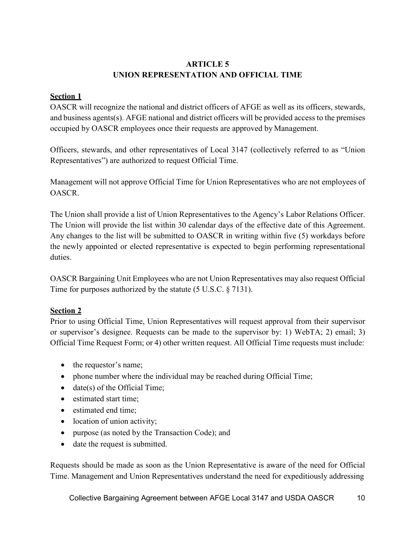#### **ARTICLE 5 UNION REPRESENTATION AND OFFICIAL TIME**

#### **Section 1**

OASCR will recognize the national and district officers of AFGE as well as its officers, stewards, and business agents(s). AFGE national and district officers will be provided access to the premises occupied by OASCR employees once their requests are approved by Management.

Officers, stewards, and other representatives of Local 3147 (collectively referred to as "Union Representatives") are authorized to request Official Time.

Management will not approve Official Time for Union Representatives who are not employees of OASCR.

The Union shall provide a list of Union Representatives to the Agency's Labor Relations Officer. The Union will provide the list within 30 calendar days of the effective date of this Agreement. Any changes to the list will be submitted to OASCR in writing within five (5) workdays before the newly appointed or elected representative is expected to begin performing representational duties.

OASCR Bargaining Unit Employees who are not Union Representatives may also request Official Time for purposes authorized by the statute (5 U.S.C. § 7131).

#### **Section 2**

Prior to using Official Time, Union Representatives will request approval from their supervisor or supervisor's designee. Requests can be made to the supervisor by: 1) WebTA; 2) email; 3) Official Time Request Form; or 4) other written request. All Official Time requests must include:

- the requestor's name;
- phone number where the individual may be reached during Official Time;
- date(s) of the Official Time;
- estimated start time:
- estimated end time;
- location of union activity;
- purpose (as noted by the Transaction Code); and
- date the request is submitted.

Requests should be made as soon as the Union Representative is aware of the need for Official Time. Management and Union Representatives understand the need for expeditiously addressing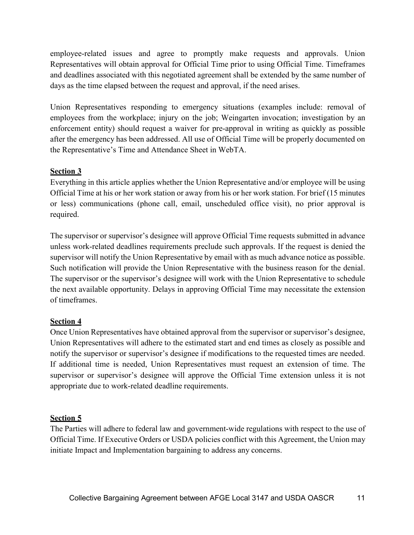employee-related issues and agree to promptly make requests and approvals. Union Representatives will obtain approval for Official Time prior to using Official Time. Timeframes and deadlines associated with this negotiated agreement shall be extended by the same number of days as the time elapsed between the request and approval, if the need arises.

Union Representatives responding to emergency situations (examples include: removal of employees from the workplace; injury on the job; Weingarten invocation; investigation by an enforcement entity) should request a waiver for pre-approval in writing as quickly as possible after the emergency has been addressed. All use of Official Time will be properly documented on the Representative's Time and Attendance Sheet in WebTA.

#### **Section 3**

Everything in this article applies whether the Union Representative and/or employee will be using Official Time at his or her work station or away from his or her work station. For brief (15 minutes or less) communications (phone call, email, unscheduled office visit), no prior approval is required.

The supervisor or supervisor's designee will approve Official Time requests submitted in advance unless work-related deadlines requirements preclude such approvals. If the request is denied the supervisor will notify the Union Representative by email with as much advance notice as possible. Such notification will provide the Union Representative with the business reason for the denial. The supervisor or the supervisor's designee will work with the Union Representative to schedule the next available opportunity. Delays in approving Official Time may necessitate the extension of timeframes.

#### **Section 4**

Once Union Representatives have obtained approval from the supervisor or supervisor's designee, Union Representatives will adhere to the estimated start and end times as closely as possible and notify the supervisor or supervisor's designee if modifications to the requested times are needed. If additional time is needed, Union Representatives must request an extension of time. The supervisor or supervisor's designee will approve the Official Time extension unless it is not appropriate due to work-related deadline requirements.

#### **Section 5**

The Parties will adhere to federal law and government-wide regulations with respect to the use of Official Time. If Executive Orders or USDA policies conflict with this Agreement, the Union may initiate Impact and Implementation bargaining to address any concerns.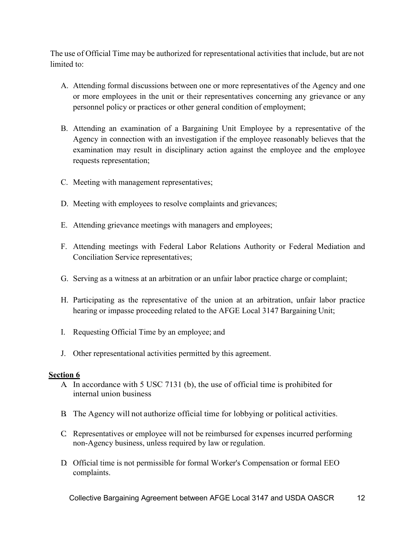The use of Official Time may be authorized for representational activities that include, but are not limited to:

- A. Attending formal discussions between one or more representatives of the Agency and one or more employees in the unit or their representatives concerning any grievance or any personnel policy or practices or other general condition of employment;
- B. Attending an examination of a Bargaining Unit Employee by a representative of the Agency in connection with an investigation if the employee reasonably believes that the examination may result in disciplinary action against the employee and the employee requests representation;
- C. Meeting with management representatives;
- D. Meeting with employees to resolve complaints and grievances;
- E. Attending grievance meetings with managers and employees;
- F. Attending meetings with Federal Labor Relations Authority or Federal Mediation and Conciliation Service representatives;
- G. Serving as a witness at an arbitration or an unfair labor practice charge or complaint;
- H. Participating as the representative of the union at an arbitration, unfair labor practice hearing or impasse proceeding related to the AFGE Local 3147 Bargaining Unit;
- I. Requesting Official Time by an employee; and
- J. Other representational activities permitted by this agreement.

#### **Section 6**

- A. In accordance with 5 USC 7131 (b), the use of official time is prohibited for internal union business
- B. The Agency will not authorize official time for lobbying or political activities.
- C. Representatives or employee will not be reimbursed for expenses incurred performing non-Agency business, unless required by law or regulation.
- D. Official time is not permissible for formal Worker's Compensation or formal EEO complaints.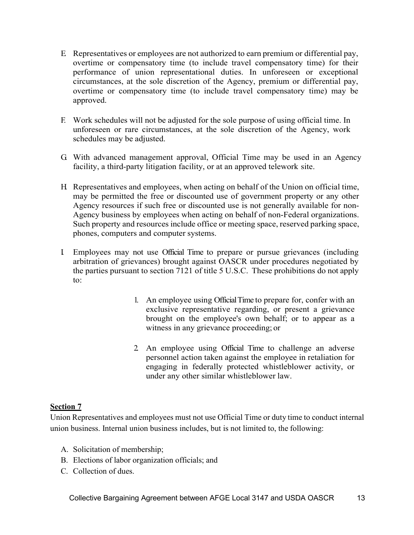- E. Representatives or employees are not authorized to earn premium or differential pay, overtime or compensatory time (to include travel compensatory time) for their performance of union representational duties. In unforeseen or exceptional circumstances, at the sole discretion of the Agency, premium or differential pay, overtime or compensatory time (to include travel compensatory time) may be approved.
- F. Work schedules will not be adjusted for the sole purpose of using official time. In unforeseen or rare circumstances, at the sole discretion of the Agency, work schedules may be adjusted.
- G. With advanced management approval, Official Time may be used in an Agency facility, a third-party litigation facility, or at an approved telework site.
- H. Representatives and employees, when acting on behalf of the Union on official time, may be permitted the free or discounted use of government property or any other Agency resources if such free or discounted use is not generally available for non-Agency business by employees when acting on behalf of non-Federal organizations. Such property and resources include office or meeting space, reserved parking space, phones, computers and computer systems.
- I. Employees may not use Official Time to prepare or pursue grievances (including arbitration of grievances) brought against OASCR under procedures negotiated by the parties pursuant to section 7121 of title 5 U.S.C. These prohibitions do not apply to:
	- 1. An employee using OfficialTime to prepare for, confer with an exclusive representative regarding, or present a grievance brought on the employee's own behalf; or to appear as a witness in any grievance proceeding; or
	- 2. An employee using Official Time to challenge an adverse personnel action taken against the employee in retaliation for engaging in federally protected whistleblower activity, or under any other similar whistleblower law.

#### **Section 7**

Union Representatives and employees must not use Official Time or duty time to conduct internal union business. Internal union business includes, but is not limited to, the following:

- A. Solicitation of membership;
- B. Elections of labor organization officials; and
- C. Collection of dues.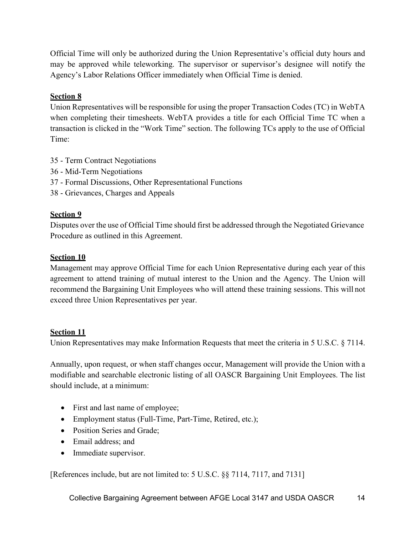Official Time will only be authorized during the Union Representative's official duty hours and may be approved while teleworking. The supervisor or supervisor's designee will notify the Agency's Labor Relations Officer immediately when Official Time is denied.

#### **Section 8**

Union Representatives will be responsible for using the proper Transaction Codes (TC) in WebTA when completing their timesheets. WebTA provides a title for each Official Time TC when a transaction is clicked in the "Work Time" section. The following TCs apply to the use of Official Time:

- 35 Term Contract Negotiations
- 36 Mid-Term Negotiations
- 37 Formal Discussions, Other Representational Functions
- 38 Grievances, Charges and Appeals

#### **Section 9**

Disputes over the use of Official Time should first be addressed through the Negotiated Grievance Procedure as outlined in this Agreement.

#### **Section 10**

Management may approve Official Time for each Union Representative during each year of this agreement to attend training of mutual interest to the Union and the Agency. The Union will recommend the Bargaining Unit Employees who will attend these training sessions. This will not exceed three Union Representatives per year.

#### **Section 11**

Union Representatives may make Information Requests that meet the criteria in 5 U.S.C. § 7114.

Annually, upon request, or when staff changes occur, Management will provide the Union with a modifiable and searchable electronic listing of all OASCR Bargaining Unit Employees. The list should include, at a minimum:

- First and last name of employee;
- Employment status (Full-Time, Part-Time, Retired, etc.);
- Position Series and Grade;
- Email address; and
- Immediate supervisor.

[References include, but are not limited to: 5 U.S.C. §§ 7114, 7117, and 7131]

Collective Bargaining Agreement between AFGE Local 3147 and USDA OASCR 14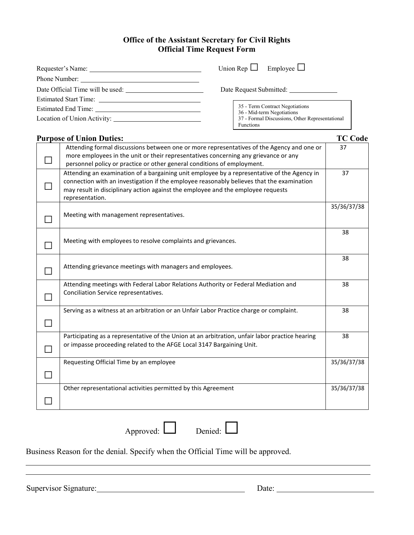#### **Office of the Assistant Secretary for Civil Rights Official Time Request Form**

| Requester's Name:                | Union Rep $\Box$ Employee $\Box$                              |
|----------------------------------|---------------------------------------------------------------|
|                                  |                                                               |
| Date Official Time will be used: | Date Request Submitted:                                       |
| <b>Estimated Start Time:</b>     |                                                               |
| Estimated End Time:              | 35 - Term Contract Negotiations<br>36 - Mid-term Negotiations |
|                                  | 37 - Formal Discussions, Other Representational<br>Functions  |

| <b>Purpose of Union Duties:</b> |                                                                                                                                                                                                                                                                                                 |             |
|---------------------------------|-------------------------------------------------------------------------------------------------------------------------------------------------------------------------------------------------------------------------------------------------------------------------------------------------|-------------|
|                                 | Attending formal discussions between one or more representatives of the Agency and one or<br>more employees in the unit or their representatives concerning any grievance or any<br>personnel policy or practice or other general conditions of employment.                                     | 37          |
|                                 | Attending an examination of a bargaining unit employee by a representative of the Agency in<br>connection with an investigation if the employee reasonably believes that the examination<br>may result in disciplinary action against the employee and the employee requests<br>representation. | 37          |
|                                 | Meeting with management representatives.                                                                                                                                                                                                                                                        | 35/36/37/38 |
|                                 | Meeting with employees to resolve complaints and grievances.                                                                                                                                                                                                                                    | 38          |
|                                 | Attending grievance meetings with managers and employees.                                                                                                                                                                                                                                       | 38          |
|                                 | Attending meetings with Federal Labor Relations Authority or Federal Mediation and<br>Conciliation Service representatives.                                                                                                                                                                     | 38          |
|                                 | Serving as a witness at an arbitration or an Unfair Labor Practice charge or complaint.                                                                                                                                                                                                         | 38          |
|                                 | Participating as a representative of the Union at an arbitration, unfair labor practice hearing<br>or impasse proceeding related to the AFGE Local 3147 Bargaining Unit.                                                                                                                        | 38          |
|                                 | Requesting Official Time by an employee                                                                                                                                                                                                                                                         | 35/36/37/38 |
|                                 | Other representational activities permitted by this Agreement                                                                                                                                                                                                                                   | 35/36/37/38 |

Approved: Denied: Denied:

Business Reason for the denial. Specify when the Official Time will be approved.

Supervisor Signature: Date: Date: Date: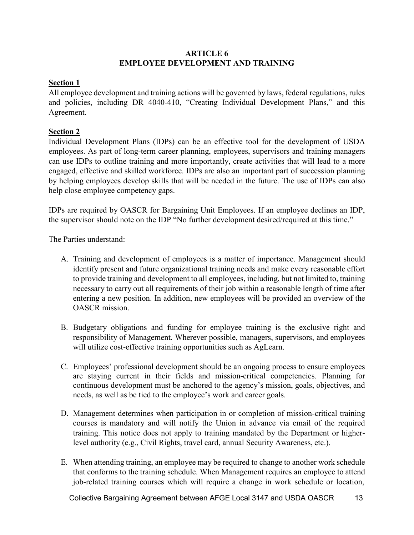#### **ARTICLE 6 EMPLOYEE DEVELOPMENT AND TRAINING**

#### **Section 1**

All employee development and training actions will be governed by laws, federal regulations, rules and policies, including DR 4040-410, "Creating Individual Development Plans," and this Agreement.

#### **Section 2**

Individual Development Plans (IDPs) can be an effective tool for the development of USDA employees. As part of long-term career planning, employees, supervisors and training managers can use IDPs to outline training and more importantly, create activities that will lead to a more engaged, effective and skilled workforce. IDPs are also an important part of succession planning by helping employees develop skills that will be needed in the future. The use of IDPs can also help close employee competency gaps.

IDPs are required by OASCR for Bargaining Unit Employees. If an employee declines an IDP, the supervisor should note on the IDP "No further development desired/required at this time."

The Parties understand:

- A. Training and development of employees is a matter of importance. Management should identify present and future organizational training needs and make every reasonable effort to provide training and development to all employees, including, but not limited to, training necessary to carry out all requirements of their job within a reasonable length of time after entering a new position. In addition, new employees will be provided an overview of the OASCR mission.
- B. Budgetary obligations and funding for employee training is the exclusive right and responsibility of Management. Wherever possible, managers, supervisors, and employees will utilize cost-effective training opportunities such as AgLearn.
- C. Employees' professional development should be an ongoing process to ensure employees are staying current in their fields and mission-critical competencies. Planning for continuous development must be anchored to the agency's mission, goals, objectives, and needs, as well as be tied to the employee's work and career goals.
- D. Management determines when participation in or completion of mission-critical training courses is mandatory and will notify the Union in advance via email of the required training. This notice does not apply to training mandated by the Department or higherlevel authority (e.g., Civil Rights, travel card, annual Security Awareness, etc.).
- E. When attending training, an employee may be required to change to another work schedule that conforms to the training schedule. When Management requires an employee to attend job-related training courses which will require a change in work schedule or location,

Collective Bargaining Agreement between AFGE Local 3147 and USDA OASCR 13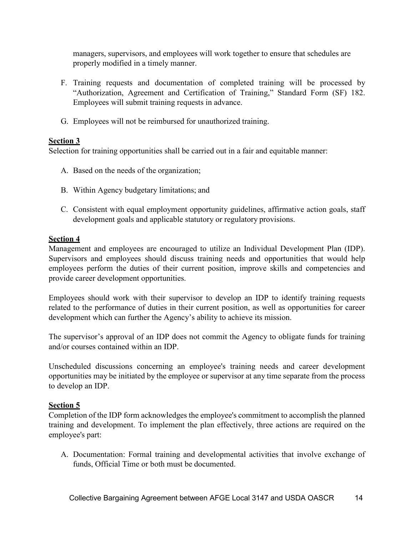managers, supervisors, and employees will work together to ensure that schedules are properly modified in a timely manner.

- F. Training requests and documentation of completed training will be processed by "Authorization, Agreement and Certification of Training," Standard Form (SF) 182. Employees will submit training requests in advance.
- G. Employees will not be reimbursed for unauthorized training.

#### **Section 3**

Selection for training opportunities shall be carried out in a fair and equitable manner:

- A. Based on the needs of the organization;
- B. Within Agency budgetary limitations; and
- C. Consistent with equal employment opportunity guidelines, affirmative action goals, staff development goals and applicable statutory or regulatory provisions.

#### **Section 4**

Management and employees are encouraged to utilize an Individual Development Plan (IDP). Supervisors and employees should discuss training needs and opportunities that would help employees perform the duties of their current position, improve skills and competencies and provide career development opportunities.

Employees should work with their supervisor to develop an IDP to identify training requests related to the performance of duties in their current position, as well as opportunities for career development which can further the Agency's ability to achieve its mission.

The supervisor's approval of an IDP does not commit the Agency to obligate funds for training and/or courses contained within an IDP.

Unscheduled discussions concerning an employee's training needs and career development opportunities may be initiated by the employee or supervisor at any time separate from the process to develop an IDP.

#### **Section 5**

Completion of the IDP form acknowledges the employee's commitment to accomplish the planned training and development. To implement the plan effectively, three actions are required on the employee's part:

A. Documentation: Formal training and developmental activities that involve exchange of funds, Official Time or both must be documented.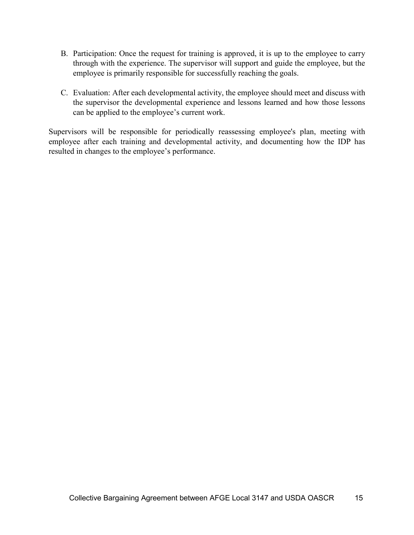- B. Participation: Once the request for training is approved, it is up to the employee to carry through with the experience. The supervisor will support and guide the employee, but the employee is primarily responsible for successfully reaching the goals.
- C. Evaluation: After each developmental activity, the employee should meet and discuss with the supervisor the developmental experience and lessons learned and how those lessons can be applied to the employee's current work.

Supervisors will be responsible for periodically reassessing employee's plan, meeting with employee after each training and developmental activity, and documenting how the IDP has resulted in changes to the employee's performance.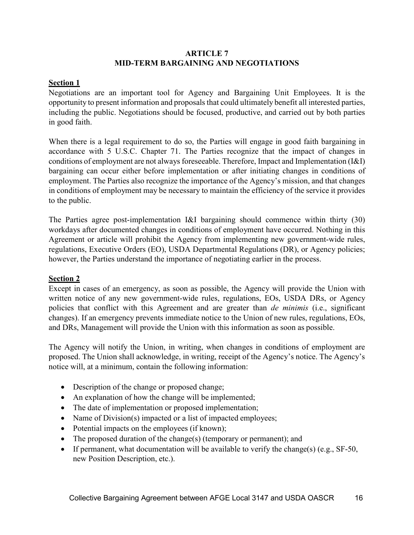#### **ARTICLE 7 MID-TERM BARGAINING AND NEGOTIATIONS**

#### **Section 1**

Negotiations are an important tool for Agency and Bargaining Unit Employees. It is the opportunity to present information and proposals that could ultimately benefit all interested parties, including the public. Negotiations should be focused, productive, and carried out by both parties in good faith.

When there is a legal requirement to do so, the Parties will engage in good faith bargaining in accordance with 5 U.S.C. Chapter 71. The Parties recognize that the impact of changes in conditions of employment are not always foreseeable. Therefore, Impact and Implementation (I&I) bargaining can occur either before implementation or after initiating changes in conditions of employment. The Parties also recognize the importance of the Agency's mission, and that changes in conditions of employment may be necessary to maintain the efficiency of the service it provides to the public.

The Parties agree post-implementation I&I bargaining should commence within thirty (30) workdays after documented changes in conditions of employment have occurred. Nothing in this Agreement or article will prohibit the Agency from implementing new government-wide rules, regulations, Executive Orders (EO), USDA Departmental Regulations (DR), or Agency policies; however, the Parties understand the importance of negotiating earlier in the process.

#### **Section 2**

Except in cases of an emergency, as soon as possible, the Agency will provide the Union with written notice of any new government-wide rules, regulations, EOs, USDA DRs, or Agency policies that conflict with this Agreement and are greater than *de minimis* (i.e., significant changes). If an emergency prevents immediate notice to the Union of new rules, regulations, EOs, and DRs, Management will provide the Union with this information as soon as possible.

The Agency will notify the Union, in writing, when changes in conditions of employment are proposed. The Union shall acknowledge, in writing, receipt of the Agency's notice. The Agency's notice will, at a minimum, contain the following information:

- Description of the change or proposed change;
- An explanation of how the change will be implemented;
- The date of implementation or proposed implementation;
- Name of Division(s) impacted or a list of impacted employees;
- Potential impacts on the employees (if known);
- The proposed duration of the change(s) (temporary or permanent); and
- If permanent, what documentation will be available to verify the change(s) (e.g., SF-50, new Position Description, etc.).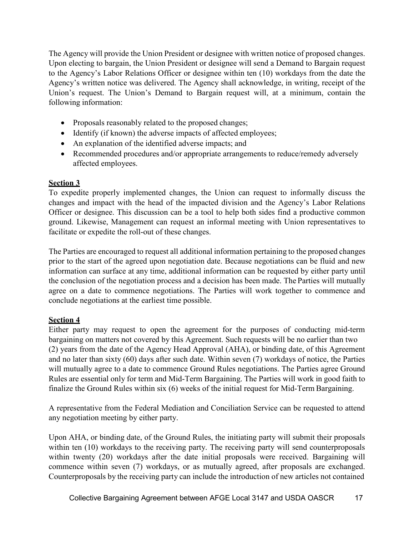The Agency will provide the Union President or designee with written notice of proposed changes. Upon electing to bargain, the Union President or designee will send a Demand to Bargain request to the Agency's Labor Relations Officer or designee within ten (10) workdays from the date the Agency's written notice was delivered. The Agency shall acknowledge, in writing, receipt of the Union's request. The Union's Demand to Bargain request will, at a minimum, contain the following information:

- Proposals reasonably related to the proposed changes;
- Identify (if known) the adverse impacts of affected employees;
- An explanation of the identified adverse impacts; and
- Recommended procedures and/or appropriate arrangements to reduce/remedy adversely affected employees.

#### **Section 3**

To expedite properly implemented changes, the Union can request to informally discuss the changes and impact with the head of the impacted division and the Agency's Labor Relations Officer or designee. This discussion can be a tool to help both sides find a productive common ground. Likewise, Management can request an informal meeting with Union representatives to facilitate or expedite the roll-out of these changes.

The Parties are encouraged to request all additional information pertaining to the proposed changes prior to the start of the agreed upon negotiation date. Because negotiations can be fluid and new information can surface at any time, additional information can be requested by either party until the conclusion of the negotiation process and a decision has been made. The Parties will mutually agree on a date to commence negotiations. The Parties will work together to commence and conclude negotiations at the earliest time possible.

#### **Section 4**

Either party may request to open the agreement for the purposes of conducting mid-term bargaining on matters not covered by this Agreement. Such requests will be no earlier than two (2) years from the date of the Agency Head Approval (AHA), or binding date, of this Agreement and no later than sixty (60) days after such date. Within seven (7) workdays of notice, the Parties will mutually agree to a date to commence Ground Rules negotiations. The Parties agree Ground Rules are essential only for term and Mid-Term Bargaining. The Parties will work in good faith to finalize the Ground Rules within six (6) weeks of the initial request for Mid-Term Bargaining.

A representative from the Federal Mediation and Conciliation Service can be requested to attend any negotiation meeting by either party.

Upon AHA, or binding date, of the Ground Rules, the initiating party will submit their proposals within ten (10) workdays to the receiving party. The receiving party will send counterproposals within twenty (20) workdays after the date initial proposals were received. Bargaining will commence within seven (7) workdays, or as mutually agreed, after proposals are exchanged. Counterproposals by the receiving party can include the introduction of new articles not contained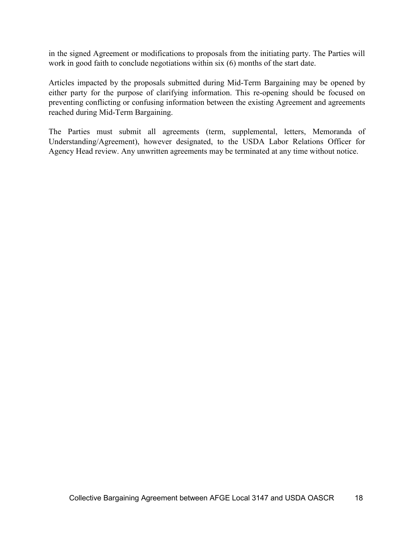in the signed Agreement or modifications to proposals from the initiating party. The Parties will work in good faith to conclude negotiations within six (6) months of the start date.

Articles impacted by the proposals submitted during Mid-Term Bargaining may be opened by either party for the purpose of clarifying information. This re-opening should be focused on preventing conflicting or confusing information between the existing Agreement and agreements reached during Mid-Term Bargaining.

The Parties must submit all agreements (term, supplemental, letters, Memoranda of Understanding/Agreement), however designated, to the USDA Labor Relations Officer for Agency Head review. Any unwritten agreements may be terminated at any time without notice.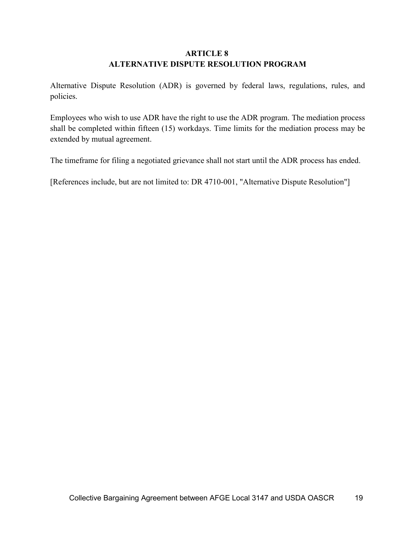#### **ARTICLE 8 ALTERNATIVE DISPUTE RESOLUTION PROGRAM**

Alternative Dispute Resolution (ADR) is governed by federal laws, regulations, rules, and policies.

Employees who wish to use ADR have the right to use the ADR program. The mediation process shall be completed within fifteen (15) workdays. Time limits for the mediation process may be extended by mutual agreement.

The timeframe for filing a negotiated grievance shall not start until the ADR process has ended.

[References include, but are not limited to: DR 4710-001, "Alternative Dispute Resolution"]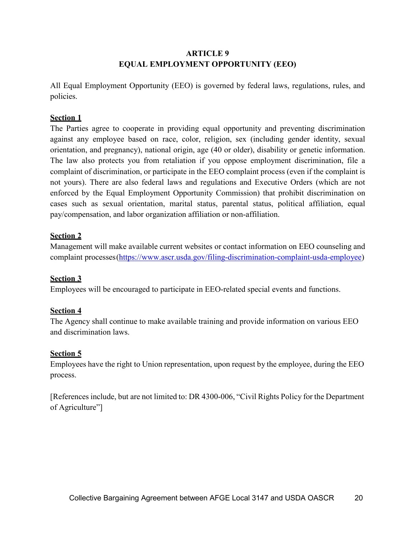#### **ARTICLE 9 EQUAL EMPLOYMENT OPPORTUNITY (EEO)**

All Equal Employment Opportunity (EEO) is governed by federal laws, regulations, rules, and policies.

#### **Section 1**

The Parties agree to cooperate in providing equal opportunity and preventing discrimination against any employee based on race, color, religion, sex (including gender identity, sexual orientation, and pregnancy), national origin, age (40 or older), disability or genetic information. The law also protects you from retaliation if you oppose employment discrimination, file a complaint of discrimination, or participate in the EEO complaint process (even if the complaint is not yours). There are also federal laws and regulations and Executive Orders (which are not enforced by the Equal Employment Opportunity Commission) that prohibit discrimination on cases such as sexual orientation, marital status, parental status, political affiliation, equal pay/compensation, and labor organization affiliation or non-affiliation.

#### **Section 2**

Management will make available current websites or contact information on EEO counseling and complaint processes[\(https://www.ascr.usda.gov/filing-discrimination-complaint-usda-employee\)](https://www.ascr.usda.gov/filing-discrimination-complaint-usda-employee)

#### **Section 3**

Employees will be encouraged to participate in EEO-related special events and functions.

#### **Section 4**

The Agency shall continue to make available training and provide information on various EEO and discrimination laws.

#### **Section 5**

Employees have the right to Union representation, upon request by the employee, during the EEO process.

[References include, but are not limited to: DR 4300-006, "Civil Rights Policy for the Department of Agriculture"]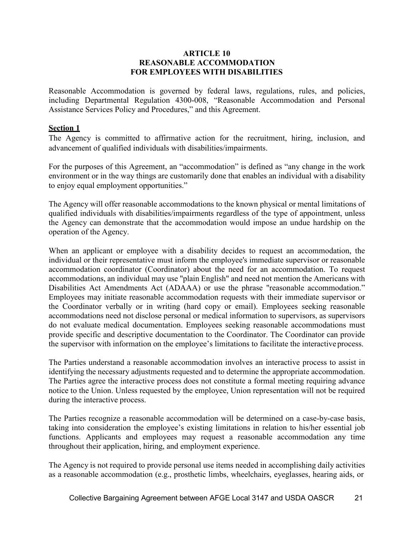#### **ARTICLE 10 REASONABLE ACCOMMODATION FOR EMPLOYEES WITH DISABILITIES**

Reasonable Accommodation is governed by federal laws, regulations, rules, and policies, including Departmental Regulation 4300-008, "Reasonable Accommodation and Personal Assistance Services Policy and Procedures," and this Agreement.

#### **Section 1**

The Agency is committed to affirmative action for the recruitment, hiring, inclusion, and advancement of qualified individuals with disabilities/impairments.

For the purposes of this Agreement, an "accommodation" is defined as "any change in the work environment or in the way things are customarily done that enables an individual with a disability to enjoy equal employment opportunities."

The Agency will offer reasonable accommodations to the known physical or mental limitations of qualified individuals with disabilities/impairments regardless of the type of appointment, unless the Agency can demonstrate that the accommodation would impose an undue hardship on the operation of the Agency.

When an applicant or employee with a disability decides to request an accommodation, the individual or their representative must inform the employee's immediate supervisor or reasonable accommodation coordinator (Coordinator) about the need for an accommodation. To request accommodations, an individual may use "plain English" and need not mention the Americans with Disabilities Act Amendments Act (ADAAA) or use the phrase "reasonable accommodation." Employees may initiate reasonable accommodation requests with their immediate supervisor or the Coordinator verbally or in writing (hard copy or email). Employees seeking reasonable accommodations need not disclose personal or medical information to supervisors, as supervisors do not evaluate medical documentation. Employees seeking reasonable accommodations must provide specific and descriptive documentation to the Coordinator. The Coordinator can provide the supervisor with information on the employee's limitations to facilitate the interactive process.

The Parties understand a reasonable accommodation involves an interactive process to assist in identifying the necessary adjustments requested and to determine the appropriate accommodation. The Parties agree the interactive process does not constitute a formal meeting requiring advance notice to the Union. Unless requested by the employee, Union representation will not be required during the interactive process.

The Parties recognize a reasonable accommodation will be determined on a case-by-case basis, taking into consideration the employee's existing limitations in relation to his/her essential job functions. Applicants and employees may request a reasonable accommodation any time throughout their application, hiring, and employment experience.

The Agency is not required to provide personal use items needed in accomplishing daily activities as a reasonable accommodation (e.g., prosthetic limbs, wheelchairs, eyeglasses, hearing aids, or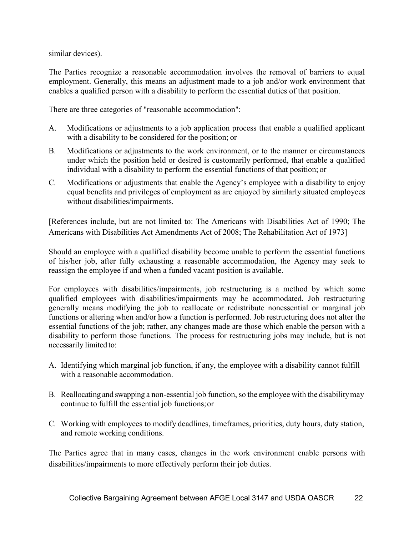similar devices).

The Parties recognize a reasonable accommodation involves the removal of barriers to equal employment. Generally, this means an adjustment made to a job and/or work environment that enables a qualified person with a disability to perform the essential duties of that position.

There are three categories of "reasonable accommodation":

- A. Modifications or adjustments to a job application process that enable a qualified applicant with a disability to be considered for the position; or
- B. Modifications or adjustments to the work environment, or to the manner or circumstances under which the position held or desired is customarily performed, that enable a qualified individual with a disability to perform the essential functions of that position; or
- C. Modifications or adjustments that enable the Agency's employee with a disability to enjoy equal benefits and privileges of employment as are enjoyed by similarly situated employees without disabilities/impairments.

[References include, but are not limited to: The Americans with Disabilities Act of 1990; The Americans with Disabilities Act Amendments Act of 2008; The Rehabilitation Act of 1973]

Should an employee with a qualified disability become unable to perform the essential functions of his/her job, after fully exhausting a reasonable accommodation, the Agency may seek to reassign the employee if and when a funded vacant position is available.

For employees with disabilities/impairments, job restructuring is a method by which some qualified employees with disabilities/impairments may be accommodated. Job restructuring generally means modifying the job to reallocate or redistribute nonessential or marginal job functions or altering when and/or how a function is performed. Job restructuring does not alter the essential functions of the job; rather, any changes made are those which enable the person with a disability to perform those functions. The process for restructuring jobs may include, but is not necessarily limited to:

- A. Identifying which marginal job function, if any, the employee with a disability cannot fulfill with a reasonable accommodation.
- B. Reallocating and swapping a non-essential job function, so the employee with the disabilitymay continue to fulfill the essential job functions;or
- C. Working with employees to modify deadlines, timeframes, priorities, duty hours, duty station, and remote working conditions.

The Parties agree that in many cases, changes in the work environment enable persons with disabilities/impairments to more effectively perform their job duties.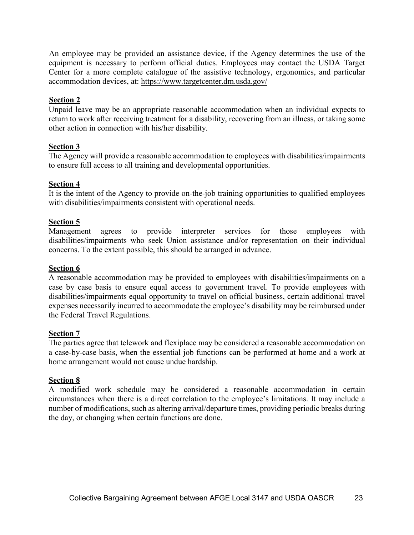An employee may be provided an assistance device, if the Agency determines the use of the equipment is necessary to perform official duties. Employees may contact the USDA Target Center for a more complete catalogue of the assistive technology, ergonomics, and particular accommodation devices, at:<https://www.targetcenter.dm.usda.gov/>

#### **Section 2**

Unpaid leave may be an appropriate reasonable accommodation when an individual expects to return to work after receiving treatment for a disability, recovering from an illness, or taking some other action in connection with his/her disability.

#### **Section 3**

The Agency will provide a reasonable accommodation to employees with disabilities/impairments to ensure full access to all training and developmental opportunities.

#### **Section 4**

It is the intent of the Agency to provide on-the-job training opportunities to qualified employees with disabilities/impairments consistent with operational needs.

#### **Section 5**

Management agrees to provide interpreter services for those employees with disabilities/impairments who seek Union assistance and/or representation on their individual concerns. To the extent possible, this should be arranged in advance.

#### **Section 6**

A reasonable accommodation may be provided to employees with disabilities/impairments on a case by case basis to ensure equal access to government travel. To provide employees with disabilities/impairments equal opportunity to travel on official business, certain additional travel expenses necessarily incurred to accommodate the employee's disability may be reimbursed under the Federal Travel Regulations.

#### **Section 7**

The parties agree that telework and flexiplace may be considered a reasonable accommodation on a case-by-case basis, when the essential job functions can be performed at home and a work at home arrangement would not cause undue hardship.

#### **Section 8**

A modified work schedule may be considered a reasonable accommodation in certain circumstances when there is a direct correlation to the employee's limitations. It may include a number of modifications, such as altering arrival/departure times, providing periodic breaks during the day, or changing when certain functions are done.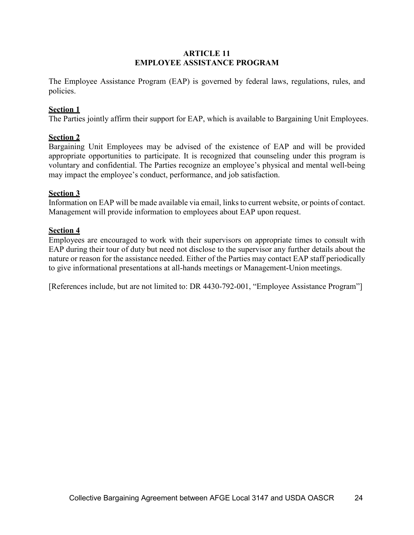#### **ARTICLE 11 EMPLOYEE ASSISTANCE PROGRAM**

The Employee Assistance Program (EAP) is governed by federal laws, regulations, rules, and policies.

#### **Section 1**

The Parties jointly affirm their support for EAP, which is available to Bargaining Unit Employees.

#### **Section 2**

Bargaining Unit Employees may be advised of the existence of EAP and will be provided appropriate opportunities to participate. It is recognized that counseling under this program is voluntary and confidential. The Parties recognize an employee's physical and mental well-being may impact the employee's conduct, performance, and job satisfaction.

#### **Section 3**

Information on EAP will be made available via email, links to current website, or points of contact. Management will provide information to employees about EAP upon request.

#### **Section 4**

Employees are encouraged to work with their supervisors on appropriate times to consult with EAP during their tour of duty but need not disclose to the supervisor any further details about the nature or reason for the assistance needed. Either of the Parties may contact EAP staff periodically to give informational presentations at all-hands meetings or Management-Union meetings.

[References include, but are not limited to: DR 4430-792-001, "Employee Assistance Program"]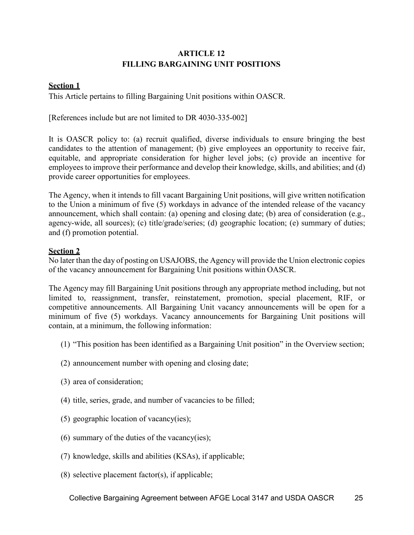#### **ARTICLE 12 FILLING BARGAINING UNIT POSITIONS**

#### **Section 1**

This Article pertains to filling Bargaining Unit positions within OASCR.

[References include but are not limited to DR 4030-335-002]

It is OASCR policy to: (a) recruit qualified, diverse individuals to ensure bringing the best candidates to the attention of management; (b) give employees an opportunity to receive fair, equitable, and appropriate consideration for higher level jobs; (c) provide an incentive for employees to improve their performance and develop their knowledge, skills, and abilities; and (d) provide career opportunities for employees.

The Agency, when it intends to fill vacant Bargaining Unit positions, will give written notification to the Union a minimum of five (5) workdays in advance of the intended release of the vacancy announcement, which shall contain: (a) opening and closing date; (b) area of consideration (e.g., agency-wide, all sources); (c) title/grade/series; (d) geographic location; (e) summary of duties; and (f) promotion potential.

#### **Section 2**

No later than the day of posting on USAJOBS, the Agency will provide the Union electronic copies of the vacancy announcement for Bargaining Unit positions within OASCR.

The Agency may fill Bargaining Unit positions through any appropriate method including, but not limited to, reassignment, transfer, reinstatement, promotion, special placement, RIF, or competitive announcements. All Bargaining Unit vacancy announcements will be open for a minimum of five (5) workdays. Vacancy announcements for Bargaining Unit positions will contain, at a minimum, the following information:

- (1) "This position has been identified as a Bargaining Unit position" in the Overview section;
- (2) announcement number with opening and closing date;
- (3) area of consideration;
- (4) title, series, grade, and number of vacancies to be filled;
- (5) geographic location of vacancy(ies);
- (6) summary of the duties of the vacancy(ies);
- (7) knowledge, skills and abilities (KSAs), if applicable;
- (8) selective placement factor(s), if applicable;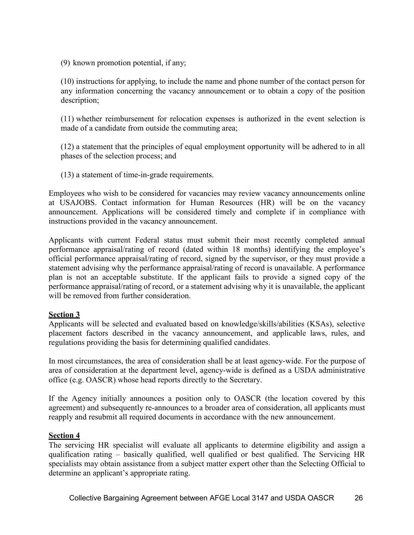(9) known promotion potential, if any;

(10) instructions for applying, to include the name and phone number of the contact person for any information concerning the vacancy announcement or to obtain a copy of the position description;

(11) whether reimbursement for relocation expenses is authorized in the event selection is made of a candidate from outside the commuting area;

(12) a statement that the principles of equal employment opportunity will be adhered to in all phases of the selection process; and

(13) a statement of time-in-grade requirements.

Employees who wish to be considered for vacancies may review vacancy announcements online at USAJOBS. Contact information for Human Resources (HR) will be on the vacancy announcement. Applications will be considered timely and complete if in compliance with instructions provided in the vacancy announcement.

Applicants with current Federal status must submit their most recently completed annual performance appraisal/rating of record (dated within 18 months) identifying the employee's official performance appraisal/rating of record, signed by the supervisor, or they must provide a statement advising why the performance appraisal/rating of record is unavailable. A performance plan is not an acceptable substitute. If the applicant fails to provide a signed copy of the performance appraisal/rating of record, or a statement advising why it is unavailable, the applicant will be removed from further consideration.

#### **Section 3**

Applicants will be selected and evaluated based on knowledge/skills/abilities (KSAs), selective placement factors described in the vacancy announcement, and applicable laws, rules, and regulations providing the basis for determining qualified candidates.

In most circumstances, the area of consideration shall be at least agency-wide. For the purpose of area of consideration at the department level, agency-wide is defined as a USDA administrative office (e.g. OASCR) whose head reports directly to the Secretary.

If the Agency initially announces a position only to OASCR (the location covered by this agreement) and subsequently re-announces to a broader area of consideration, all applicants must reapply and resubmit all required documents in accordance with the new announcement.

#### **Section 4**

The servicing HR specialist will evaluate all applicants to determine eligibility and assign a qualification rating – basically qualified, well qualified or best qualified. The Servicing HR specialists may obtain assistance from a subject matter expert other than the Selecting Official to determine an applicant's appropriate rating.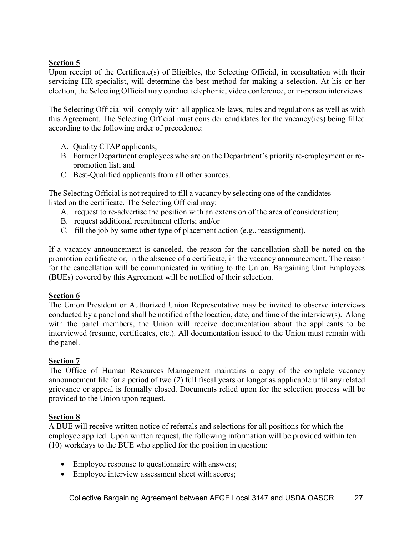#### **Section 5**

Upon receipt of the Certificate(s) of Eligibles, the Selecting Official, in consultation with their servicing HR specialist, will determine the best method for making a selection. At his or her election, the Selecting Official may conduct telephonic, video conference, or in-person interviews.

The Selecting Official will comply with all applicable laws, rules and regulations as well as with this Agreement. The Selecting Official must consider candidates for the vacancy(ies) being filled according to the following order of precedence:

- A. Quality CTAP applicants;
- B. Former Department employees who are on the Department's priority re-employment or repromotion list; and
- C. Best-Qualified applicants from all other sources.

The Selecting Official is not required to fill a vacancy by selecting one of the candidates listed on the certificate. The Selecting Official may:

- A. request to re-advertise the position with an extension of the area of consideration;
- B. request additional recruitment efforts; and/or
- C. fill the job by some other type of placement action (e.g., reassignment).

If a vacancy announcement is canceled, the reason for the cancellation shall be noted on the promotion certificate or, in the absence of a certificate, in the vacancy announcement. The reason for the cancellation will be communicated in writing to the Union. Bargaining Unit Employees (BUEs) covered by this Agreement will be notified of their selection.

#### **Section 6**

The Union President or Authorized Union Representative may be invited to observe interviews conducted by a panel and shall be notified of the location, date, and time of the interview(s). Along with the panel members, the Union will receive documentation about the applicants to be interviewed (resume, certificates, etc.). All documentation issued to the Union must remain with the panel.

#### **Section 7**

The Office of Human Resources Management maintains a copy of the complete vacancy announcement file for a period of two (2) full fiscal years or longer as applicable until any related grievance or appeal is formally closed. Documents relied upon for the selection process will be provided to the Union upon request.

#### **Section 8**

A BUE will receive written notice of referrals and selections for all positions for which the employee applied. Upon written request, the following information will be provided within ten (10) workdays to the BUE who applied for the position in question:

- Employee response to questionnaire with answers;
- Employee interview assessment sheet with scores;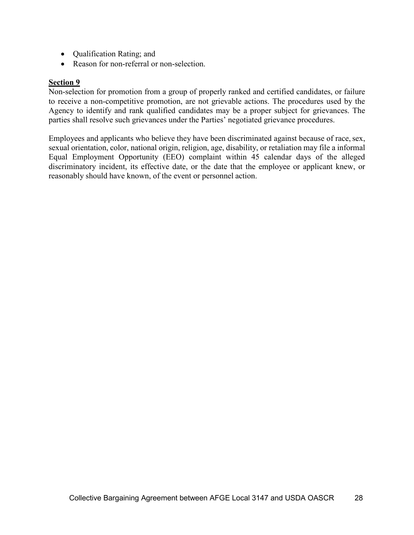- Qualification Rating; and
- Reason for non-referral or non-selection.

#### **Section 9**

Non-selection for promotion from a group of properly ranked and certified candidates, or failure to receive a non-competitive promotion, are not grievable actions. The procedures used by the Agency to identify and rank qualified candidates may be a proper subject for grievances. The parties shall resolve such grievances under the Parties' negotiated grievance procedures.

Employees and applicants who believe they have been discriminated against because of race, sex, sexual orientation, color, national origin, religion, age, disability, or retaliation may file a informal Equal Employment Opportunity (EEO) complaint within 45 calendar days of the alleged discriminatory incident, its effective date, or the date that the employee or applicant knew, or reasonably should have known, of the event or personnel action.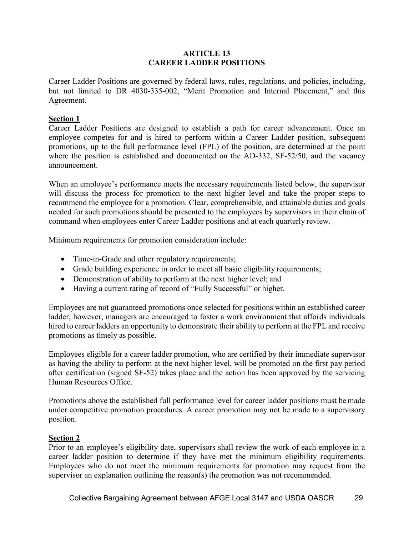#### **ARTICLE 13 CAREER LADDER POSITIONS**

Career Ladder Positions are governed by federal laws, rules, regulations, and policies, including, but not limited to DR 4030-335-002, "Merit Promotion and Internal Placement," and this Agreement.

#### **Section 1**

Career Ladder Positions are designed to establish a path for career advancement. Once an employee competes for and is hired to perform within a Career Ladder position, subsequent promotions, up to the full performance level (FPL) of the position, are determined at the point where the position is established and documented on the AD-332, SF-52/50, and the vacancy announcement.

When an employee's performance meets the necessary requirements listed below, the supervisor will discuss the process for promotion to the next higher level and take the proper steps to recommend the employee for a promotion. Clear, comprehensible, and attainable duties and goals needed for such promotions should be presented to the employees by supervisors in their chain of command when employees enter Career Ladder positions and at each quarterly review.

Minimum requirements for promotion consideration include:

- Time-in-Grade and other regulatory requirements;
- Grade building experience in order to meet all basic eligibility requirements;
- Demonstration of ability to perform at the next higher level; and
- Having a current rating of record of "Fully Successful" or higher.

Employees are not guaranteed promotions once selected for positions within an established career ladder, however, managers are encouraged to foster a work environment that affords individuals hired to career ladders an opportunity to demonstrate their ability to perform at the FPL and receive promotions as timely as possible.

Employees eligible for a career ladder promotion, who are certified by their immediate supervisor as having the ability to perform at the next higher level, will be promoted on the first pay period after certification (signed SF-52) takes place and the action has been approved by the servicing Human Resources Office.

Promotions above the established full performance level for career ladder positions must be made under competitive promotion procedures. A career promotion may not be made to a supervisory position.

#### **Section 2**

Prior to an employee's eligibility date, supervisors shall review the work of each employee in a career ladder position to determine if they have met the minimum eligibility requirements. Employees who do not meet the minimum requirements for promotion may request from the supervisor an explanation outlining the reason(s) the promotion was not recommended.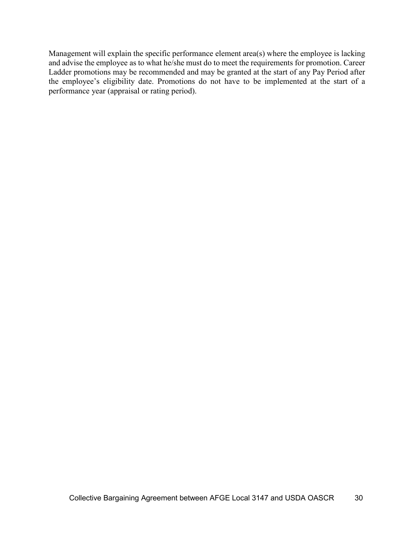Management will explain the specific performance element area(s) where the employee is lacking and advise the employee as to what he/she must do to meet the requirements for promotion. Career Ladder promotions may be recommended and may be granted at the start of any Pay Period after the employee's eligibility date. Promotions do not have to be implemented at the start of a performance year (appraisal or rating period).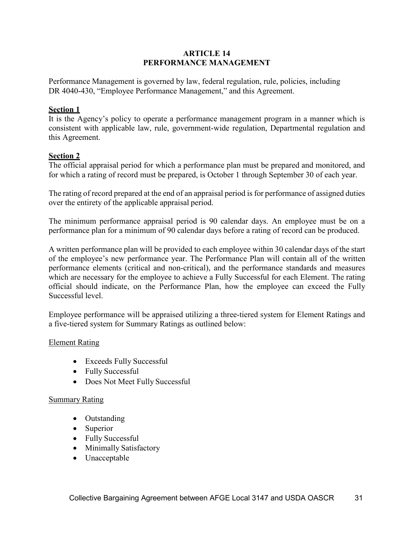#### **ARTICLE 14 PERFORMANCE MANAGEMENT**

Performance Management is governed by law, federal regulation, rule, policies, including DR 4040-430, "Employee Performance Management," and this Agreement.

#### **Section 1**

It is the Agency's policy to operate a performance management program in a manner which is consistent with applicable law, rule, government-wide regulation, Departmental regulation and this Agreement.

#### **Section 2**

The official appraisal period for which a performance plan must be prepared and monitored, and for which a rating of record must be prepared, is October 1 through September 30 of each year.

The rating of record prepared at the end of an appraisal period is for performance of assigned duties over the entirety of the applicable appraisal period.

The minimum performance appraisal period is 90 calendar days. An employee must be on a performance plan for a minimum of 90 calendar days before a rating of record can be produced.

A written performance plan will be provided to each employee within 30 calendar days of the start of the employee's new performance year. The Performance Plan will contain all of the written performance elements (critical and non-critical), and the performance standards and measures which are necessary for the employee to achieve a Fully Successful for each Element. The rating official should indicate, on the Performance Plan, how the employee can exceed the Fully Successful level.

Employee performance will be appraised utilizing a three-tiered system for Element Ratings and a five-tiered system for Summary Ratings as outlined below:

#### Element Rating

- Exceeds Fully Successful
- Fully Successful
- Does Not Meet Fully Successful

#### Summary Rating

- Outstanding
- Superior
- Fully Successful
- Minimally Satisfactory
- Unacceptable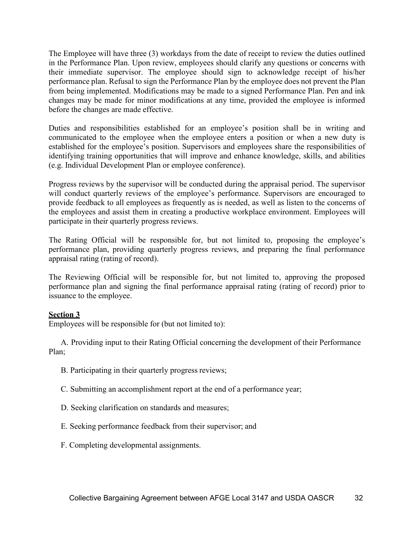The Employee will have three (3) workdays from the date of receipt to review the duties outlined in the Performance Plan. Upon review, employees should clarify any questions or concerns with their immediate supervisor. The employee should sign to acknowledge receipt of his/her performance plan. Refusal to sign the Performance Plan by the employee does not prevent the Plan from being implemented. Modifications may be made to a signed Performance Plan. Pen and ink changes may be made for minor modifications at any time, provided the employee is informed before the changes are made effective.

Duties and responsibilities established for an employee's position shall be in writing and communicated to the employee when the employee enters a position or when a new duty is established for the employee's position. Supervisors and employees share the responsibilities of identifying training opportunities that will improve and enhance knowledge, skills, and abilities (e.g. Individual Development Plan or employee conference).

Progress reviews by the supervisor will be conducted during the appraisal period. The supervisor will conduct quarterly reviews of the employee's performance. Supervisors are encouraged to provide feedback to all employees as frequently as is needed, as well as listen to the concerns of the employees and assist them in creating a productive workplace environment. Employees will participate in their quarterly progress reviews.

The Rating Official will be responsible for, but not limited to, proposing the employee's performance plan, providing quarterly progress reviews, and preparing the final performance appraisal rating (rating of record).

The Reviewing Official will be responsible for, but not limited to, approving the proposed performance plan and signing the final performance appraisal rating (rating of record) prior to issuance to the employee.

#### **Section 3**

Employees will be responsible for (but not limited to):

A. Providing input to their Rating Official concerning the development of their Performance Plan;

- B. Participating in their quarterly progress reviews;
- C. Submitting an accomplishment report at the end of a performance year;
- D. Seeking clarification on standards and measures;
- E. Seeking performance feedback from their supervisor; and
- F. Completing developmental assignments.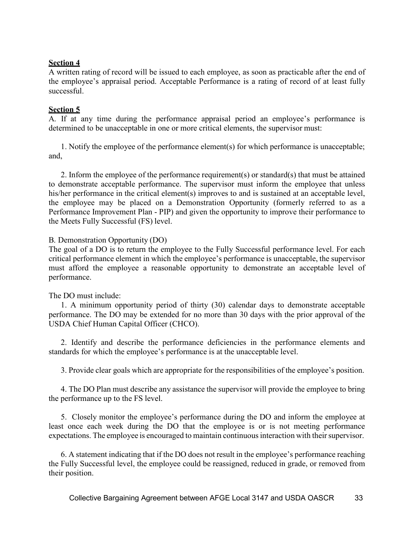#### **Section 4**

A written rating of record will be issued to each employee, as soon as practicable after the end of the employee's appraisal period. Acceptable Performance is a rating of record of at least fully successful.

#### **Section 5**

A. If at any time during the performance appraisal period an employee's performance is determined to be unacceptable in one or more critical elements, the supervisor must:

1. Notify the employee of the performance element(s) for which performance is unacceptable; and,

2. Inform the employee of the performance requirement(s) or standard(s) that must be attained to demonstrate acceptable performance. The supervisor must inform the employee that unless his/her performance in the critical element(s) improves to and is sustained at an acceptable level, the employee may be placed on a Demonstration Opportunity (formerly referred to as a Performance Improvement Plan - PIP) and given the opportunity to improve their performance to the Meets Fully Successful (FS) level.

#### B. Demonstration Opportunity (DO)

The goal of a DO is to return the employee to the Fully Successful performance level. For each critical performance element in which the employee's performance is unacceptable, the supervisor must afford the employee a reasonable opportunity to demonstrate an acceptable level of performance.

#### The DO must include:

1. A minimum opportunity period of thirty (30) calendar days to demonstrate acceptable performance. The DO may be extended for no more than 30 days with the prior approval of the USDA Chief Human Capital Officer (CHCO).

2. Identify and describe the performance deficiencies in the performance elements and standards for which the employee's performance is at the unacceptable level.

3. Provide clear goals which are appropriate for the responsibilities of the employee's position.

4. The DO Plan must describe any assistance the supervisor will provide the employee to bring the performance up to the FS level.

5. Closely monitor the employee's performance during the DO and inform the employee at least once each week during the DO that the employee is or is not meeting performance expectations. The employee is encouraged to maintain continuous interaction with their supervisor.

6. A statement indicating that if the DO does not result in the employee's performance reaching the Fully Successful level, the employee could be reassigned, reduced in grade, or removed from their position.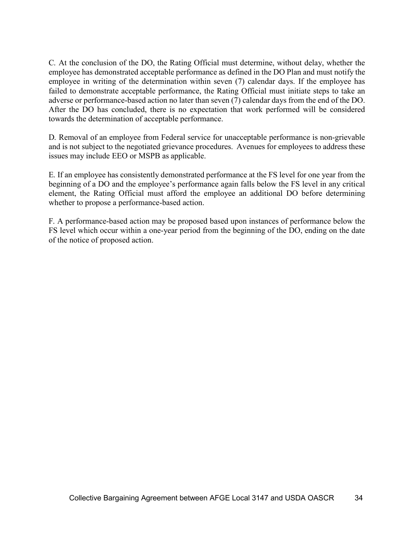C. At the conclusion of the DO, the Rating Official must determine, without delay, whether the employee has demonstrated acceptable performance as defined in the DO Plan and must notify the employee in writing of the determination within seven (7) calendar days. If the employee has failed to demonstrate acceptable performance, the Rating Official must initiate steps to take an adverse or performance-based action no later than seven (7) calendar days from the end of the DO. After the DO has concluded, there is no expectation that work performed will be considered towards the determination of acceptable performance.

D. Removal of an employee from Federal service for unacceptable performance is non-grievable and is not subject to the negotiated grievance procedures. Avenues for employees to address these issues may include EEO or MSPB as applicable.

E. If an employee has consistently demonstrated performance at the FS level for one year from the beginning of a DO and the employee's performance again falls below the FS level in any critical element, the Rating Official must afford the employee an additional DO before determining whether to propose a performance-based action.

F. A performance-based action may be proposed based upon instances of performance below the FS level which occur within a one-year period from the beginning of the DO, ending on the date of the notice of proposed action.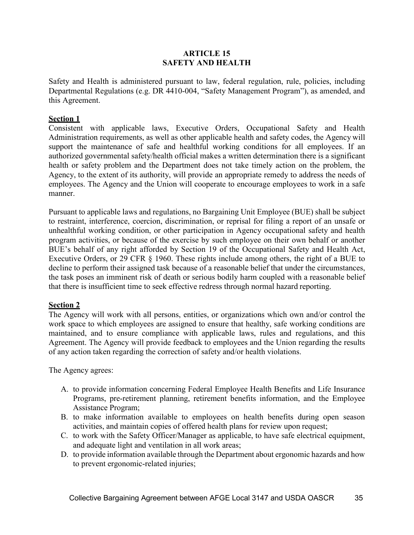### **ARTICLE 15 SAFETY AND HEALTH**

Safety and Health is administered pursuant to law, federal regulation, rule, policies, including Departmental Regulations (e.g. DR 4410-004, "Safety Management Program"), as amended, and this Agreement.

### **Section 1**

Consistent with applicable laws, Executive Orders, Occupational Safety and Health Administration requirements, as well as other applicable health and safety codes, the Agency will support the maintenance of safe and healthful working conditions for all employees. If an authorized governmental safety/health official makes a written determination there is a significant health or safety problem and the Department does not take timely action on the problem, the Agency, to the extent of its authority, will provide an appropriate remedy to address the needs of employees. The Agency and the Union will cooperate to encourage employees to work in a safe manner.

Pursuant to applicable laws and regulations, no Bargaining Unit Employee (BUE) shall be subject to restraint, interference, coercion, discrimination, or reprisal for filing a report of an unsafe or unhealthful working condition, or other participation in Agency occupational safety and health program activities, or because of the exercise by such employee on their own behalf or another BUE's behalf of any right afforded by Section 19 of the Occupational Safety and Health Act, Executive Orders, or 29 CFR § 1960. These rights include among others, the right of a BUE to decline to perform their assigned task because of a reasonable belief that under the circumstances, the task poses an imminent risk of death or serious bodily harm coupled with a reasonable belief that there is insufficient time to seek effective redress through normal hazard reporting.

# **Section 2**

The Agency will work with all persons, entities, or organizations which own and/or control the work space to which employees are assigned to ensure that healthy, safe working conditions are maintained, and to ensure compliance with applicable laws, rules and regulations, and this Agreement. The Agency will provide feedback to employees and the Union regarding the results of any action taken regarding the correction of safety and/or health violations.

The Agency agrees:

- A. to provide information concerning Federal Employee Health Benefits and Life Insurance Programs, pre-retirement planning, retirement benefits information, and the Employee Assistance Program;
- B. to make information available to employees on health benefits during open season activities, and maintain copies of offered health plans for review upon request;
- C. to work with the Safety Officer/Manager as applicable, to have safe electrical equipment, and adequate light and ventilation in all work areas;
- D. to provide information available through the Department about ergonomic hazards and how to prevent ergonomic-related injuries;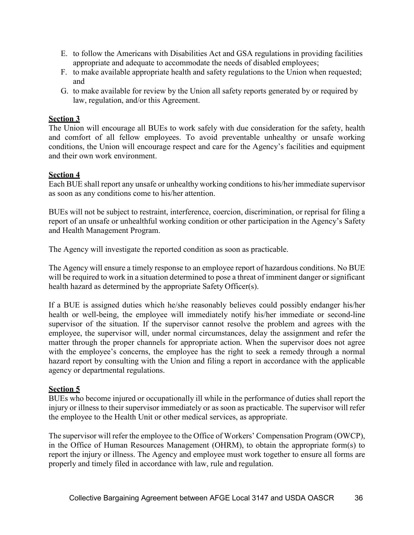- E. to follow the Americans with Disabilities Act and GSA regulations in providing facilities appropriate and adequate to accommodate the needs of disabled employees;
- F. to make available appropriate health and safety regulations to the Union when requested; and
- G. to make available for review by the Union all safety reports generated by or required by law, regulation, and/or this Agreement.

# **Section 3**

The Union will encourage all BUEs to work safely with due consideration for the safety, health and comfort of all fellow employees. To avoid preventable unhealthy or unsafe working conditions, the Union will encourage respect and care for the Agency's facilities and equipment and their own work environment.

# **Section 4**

Each BUE shall report any unsafe or unhealthy working conditionsto his/her immediate supervisor as soon as any conditions come to his/her attention.

BUEs will not be subject to restraint, interference, coercion, discrimination, or reprisal for filing a report of an unsafe or unhealthful working condition or other participation in the Agency's Safety and Health Management Program.

The Agency will investigate the reported condition as soon as practicable.

The Agency will ensure a timely response to an employee report of hazardous conditions. No BUE will be required to work in a situation determined to pose a threat of imminent danger or significant health hazard as determined by the appropriate Safety Officer(s).

If a BUE is assigned duties which he/she reasonably believes could possibly endanger his/her health or well-being, the employee will immediately notify his/her immediate or second-line supervisor of the situation. If the supervisor cannot resolve the problem and agrees with the employee, the supervisor will, under normal circumstances, delay the assignment and refer the matter through the proper channels for appropriate action. When the supervisor does not agree with the employee's concerns, the employee has the right to seek a remedy through a normal hazard report by consulting with the Union and filing a report in accordance with the applicable agency or departmental regulations.

# **Section 5**

BUEs who become injured or occupationally ill while in the performance of duties shall report the injury or illness to their supervisor immediately or as soon as practicable. The supervisor will refer the employee to the Health Unit or other medical services, as appropriate.

The supervisor will refer the employee to the Office of Workers' Compensation Program (OWCP), in the Office of Human Resources Management (OHRM), to obtain the appropriate form(s) to report the injury or illness. The Agency and employee must work together to ensure all forms are properly and timely filed in accordance with law, rule and regulation.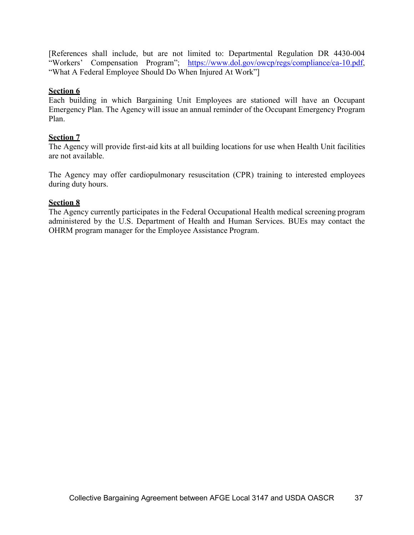[References shall include, but are not limited to: Departmental Regulation DR 4430-004 "Workers' Compensation Program"; [https://www.dol.gov/owcp/regs/compliance/ca-10.pdf,](https://www.dol.gov/owcp/regs/compliance/ca-10.pdf) "What A Federal Employee Should Do When Injured At Work"]

### **Section 6**

Each building in which Bargaining Unit Employees are stationed will have an Occupant Emergency Plan. The Agency will issue an annual reminder of the Occupant Emergency Program Plan.

### **Section 7**

The Agency will provide first-aid kits at all building locations for use when Health Unit facilities are not available.

The Agency may offer cardiopulmonary resuscitation (CPR) training to interested employees during duty hours.

#### **Section 8**

The Agency currently participates in the Federal Occupational Health medical screening program administered by the U.S. Department of Health and Human Services. BUEs may contact the OHRM program manager for the Employee Assistance Program.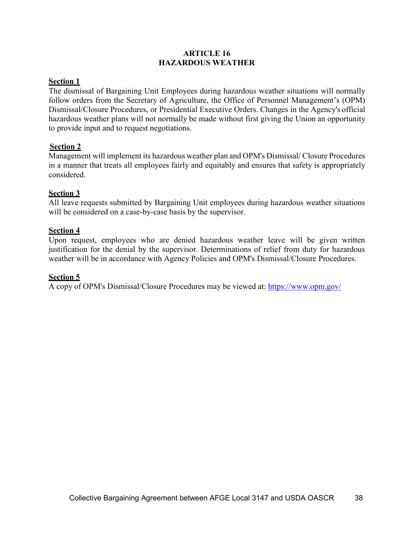### **ARTICLE 16 HAZARDOUS WEATHER**

# **Section 1**

The dismissal of Bargaining Unit Employees during hazardous weather situations will normally follow orders from the Secretary of Agriculture, the Office of Personnel Management's (OPM) Dismissal/Closure Procedures, or Presidential Executive Orders. Changes in the Agency's official hazardous weather plans will not normally be made without first giving the Union an opportunity to provide input and to request negotiations.

### **Section 2**

Management will implement its hazardous weather plan and OPM's Dismissal/ Closure Procedures in a manner that treats all employees fairly and equitably and ensures that safety is appropriately considered.

### **Section 3**

All leave requests submitted by Bargaining Unit employees during hazardous weather situations will be considered on a case-by-case basis by the supervisor.

### **Section 4**

Upon request, employees who are denied hazardous weather leave will be given written justification for the denial by the supervisor. Determinations of relief from duty for hazardous weather will be in accordance with Agency Policies and OPM's Dismissal/Closure Procedures.

#### **Section 5**

A copy of OPM's Dismissal/Closure Procedures may be viewed at:<https://www.opm.gov/>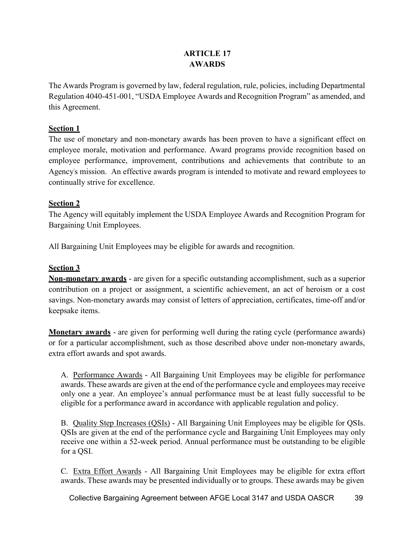# **ARTICLE 17 AWARDS**

The Awards Program is governed by law, federal regulation, rule, policies, including Departmental Regulation 4040-451-001, "USDA Employee Awards and Recognition Program" as amended, and this Agreement.

# **Section 1**

The use of monetary and non-monetary awards has been proven to have a significant effect on employee morale, motivation and performance. Award programs provide recognition based on employee performance, improvement, contributions and achievements that contribute to an Agency's mission. An effective awards program is intended to motivate and reward employees to continually strive for excellence.

# **Section 2**

The Agency will equitably implement the USDA Employee Awards and Recognition Program for Bargaining Unit Employees.

All Bargaining Unit Employees may be eligible for awards and recognition.

# **Section 3**

**Non-monetary awards** - are given for a specific outstanding accomplishment, such as a superior contribution on a project or assignment, a scientific achievement, an act of heroism or a cost savings. Non-monetary awards may consist of letters of appreciation, certificates, time-off and/or keepsake items.

**Monetary awards** - are given for performing well during the rating cycle (performance awards) or for a particular accomplishment, such as those described above under non-monetary awards, extra effort awards and spot awards.

A. Performance Awards - All Bargaining Unit Employees may be eligible for performance awards. These awards are given at the end of the performance cycle and employees may receive only one a year. An employee's annual performance must be at least fully successful to be eligible for a performance award in accordance with applicable regulation and policy.

B. Quality Step Increases (QSIs) - All Bargaining Unit Employees may be eligible for QSIs. QSIs are given at the end of the performance cycle and Bargaining Unit Employees may only receive one within a 52-week period. Annual performance must be outstanding to be eligible for a QSI.

C. Extra Effort Awards - All Bargaining Unit Employees may be eligible for extra effort awards. These awards may be presented individually or to groups. These awards may be given

Collective Bargaining Agreement between AFGE Local 3147 and USDA OASCR 39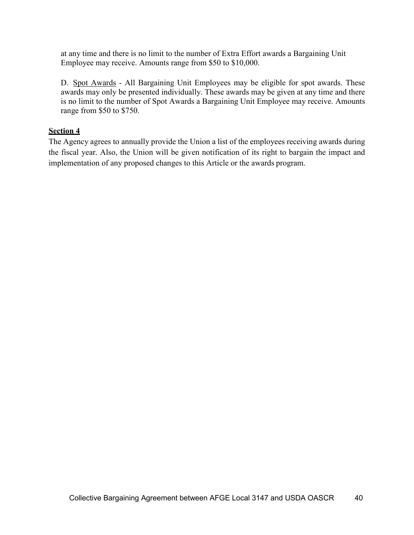at any time and there is no limit to the number of Extra Effort awards a Bargaining Unit Employee may receive. Amounts range from \$50 to \$10,000.

D. Spot Awards - All Bargaining Unit Employees may be eligible for spot awards. These awards may only be presented individually. These awards may be given at any time and there is no limit to the number of Spot Awards a Bargaining Unit Employee may receive. Amounts range from \$50 to \$750.

### **Section 4**

The Agency agrees to annually provide the Union a list of the employees receiving awards during the fiscal year. Also, the Union will be given notification of its right to bargain the impact and implementation of any proposed changes to this Article or the awards program.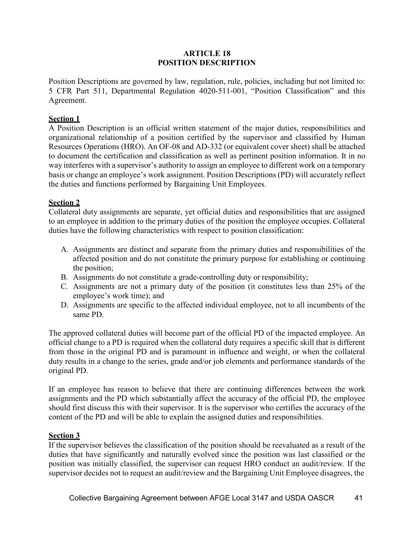### **ARTICLE 18 POSITION DESCRIPTION**

Position Descriptions are governed by law, regulation, rule, policies, including but not limited to: 5 CFR Part 511, Departmental Regulation 4020-511-001, "Position Classification" and this Agreement.

### **Section 1**

A Position Description is an official written statement of the major duties, responsibilities and organizational relationship of a position certified by the supervisor and classified by Human Resources Operations (HRO). An OF-08 and AD-332 (or equivalent cover sheet) shall be attached to document the certification and classification as well as pertinent position information. It in no way interferes with a supervisor's authority to assign an employee to different work on a temporary basis or change an employee's work assignment. Position Descriptions (PD) will accurately reflect the duties and functions performed by Bargaining Unit Employees.

### **Section 2**

Collateral duty assignments are separate, yet official duties and responsibilities that are assigned to an employee in addition to the primary duties of the position the employee occupies. Collateral duties have the following characteristics with respect to position classification:

- A. Assignments are distinct and separate from the primary duties and responsibilities of the affected position and do not constitute the primary purpose for establishing or continuing the position;
- B. Assignments do not constitute a grade-controlling duty or responsibility;
- C. Assignments are not a primary duty of the position (it constitutes less than 25% of the employee's work time); and
- D. Assignments are specific to the affected individual employee, not to all incumbents of the same PD.

The approved collateral duties will become part of the official PD of the impacted employee. An official change to a PD is required when the collateral duty requires a specific skill that is different from those in the original PD and is paramount in influence and weight, or when the collateral duty results in a change to the series, grade and/or job elements and performance standards of the original PD.

If an employee has reason to believe that there are continuing differences between the work assignments and the PD which substantially affect the accuracy of the official PD, the employee should first discuss this with their supervisor. It is the supervisor who certifies the accuracy of the content of the PD and will be able to explain the assigned duties and responsibilities.

#### **Section 3**

If the supervisor believes the classification of the position should be reevaluated as a result of the duties that have significantly and naturally evolved since the position was last classified or the position was initially classified, the supervisor can request HRO conduct an audit/review. If the supervisor decides not to request an audit/review and the Bargaining Unit Employee disagrees, the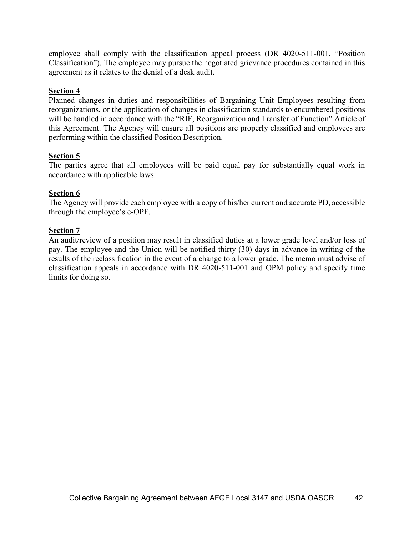employee shall comply with the classification appeal process (DR 4020-511-001, "Position Classification"). The employee may pursue the negotiated grievance procedures contained in this agreement as it relates to the denial of a desk audit.

# **Section 4**

Planned changes in duties and responsibilities of Bargaining Unit Employees resulting from reorganizations, or the application of changes in classification standards to encumbered positions will be handled in accordance with the "RIF, Reorganization and Transfer of Function" Article of this Agreement. The Agency will ensure all positions are properly classified and employees are performing within the classified Position Description.

# **Section 5**

The parties agree that all employees will be paid equal pay for substantially equal work in accordance with applicable laws.

# **Section 6**

The Agency will provide each employee with a copy of his/her current and accurate PD, accessible through the employee's e-OPF.

# **Section 7**

An audit/review of a position may result in classified duties at a lower grade level and/or loss of pay. The employee and the Union will be notified thirty (30) days in advance in writing of the results of the reclassification in the event of a change to a lower grade. The memo must advise of classification appeals in accordance with DR 4020-511-001 and OPM policy and specify time limits for doing so.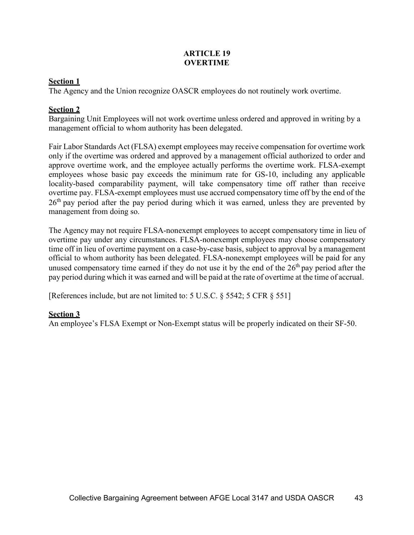### **ARTICLE 19 OVERTIME**

# **Section 1**

The Agency and the Union recognize OASCR employees do not routinely work overtime.

# **Section 2**

Bargaining Unit Employees will not work overtime unless ordered and approved in writing by a management official to whom authority has been delegated.

Fair Labor Standards Act (FLSA) exempt employees may receive compensation for overtime work only if the overtime was ordered and approved by a management official authorized to order and approve overtime work, and the employee actually performs the overtime work. FLSA-exempt employees whose basic pay exceeds the minimum rate for GS-10, including any applicable locality-based comparability payment, will take compensatory time off rather than receive overtime pay. FLSA-exempt employees must use accrued compensatory time off by the end of the  $26<sup>th</sup>$  pay period after the pay period during which it was earned, unless they are prevented by management from doing so.

The Agency may not require FLSA-nonexempt employees to accept compensatory time in lieu of overtime pay under any circumstances. FLSA-nonexempt employees may choose compensatory time off in lieu of overtime payment on a case-by-case basis, subject to approval by a management official to whom authority has been delegated. FLSA-nonexempt employees will be paid for any unused compensatory time earned if they do not use it by the end of the  $26<sup>th</sup>$  pay period after the pay period during which it was earned and will be paid at the rate of overtime at the time of accrual.

[References include, but are not limited to: 5 U.S.C. § 5542; 5 CFR § 551]

# **Section 3**

An employee's FLSA Exempt or Non-Exempt status will be properly indicated on their SF-50.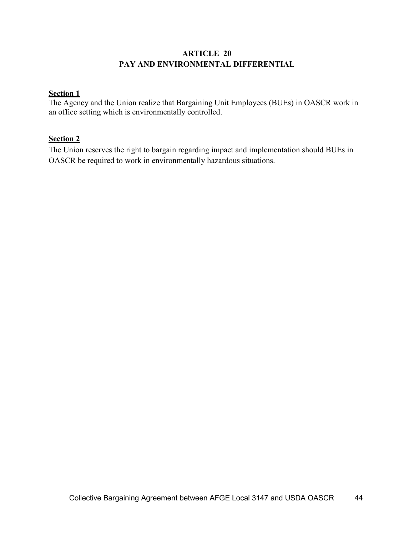# **ARTICLE 20 PAY AND ENVIRONMENTAL DIFFERENTIAL**

# **Section 1**

The Agency and the Union realize that Bargaining Unit Employees (BUEs) in OASCR work in an office setting which is environmentally controlled.

# **Section 2**

The Union reserves the right to bargain regarding impact and implementation should BUEs in OASCR be required to work in environmentally hazardous situations.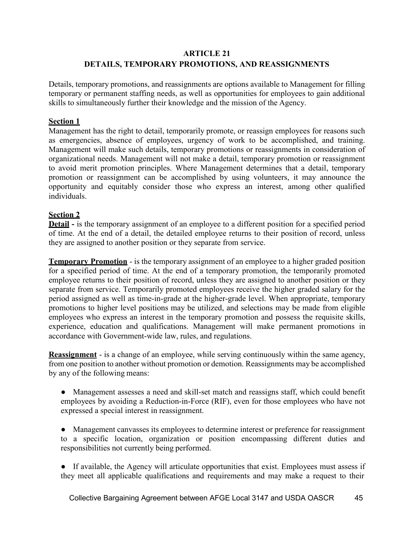# **ARTICLE 21 DETAILS, TEMPORARY PROMOTIONS, AND REASSIGNMENTS**

Details, temporary promotions, and reassignments are options available to Management for filling temporary or permanent staffing needs, as well as opportunities for employees to gain additional skills to simultaneously further their knowledge and the mission of the Agency.

### **Section 1**

Management has the right to detail, temporarily promote, or reassign employees for reasons such as emergencies, absence of employees, urgency of work to be accomplished, and training. Management will make such details, temporary promotions or reassignments in consideration of organizational needs. Management will not make a detail, temporary promotion or reassignment to avoid merit promotion principles. Where Management determines that a detail, temporary promotion or reassignment can be accomplished by using volunteers, it may announce the opportunity and equitably consider those who express an interest, among other qualified individuals.

### **Section 2**

**Detail -** is the temporary assignment of an employee to a different position for a specified period of time. At the end of a detail, the detailed employee returns to their position of record, unless they are assigned to another position or they separate from service.

**Temporary Promotion** - is the temporary assignment of an employee to a higher graded position for a specified period of time. At the end of a temporary promotion, the temporarily promoted employee returns to their position of record, unless they are assigned to another position or they separate from service. Temporarily promoted employees receive the higher graded salary for the period assigned as well as time-in-grade at the higher-grade level. When appropriate, temporary promotions to higher level positions may be utilized, and selections may be made from eligible employees who express an interest in the temporary promotion and possess the requisite skills, experience, education and qualifications. Management will make permanent promotions in accordance with Government-wide law, rules, and regulations.

**Reassignment** - is a change of an employee, while serving continuously within the same agency, from one position to another without promotion or demotion. Reassignments may be accomplished by any of the following means:

● Management assesses a need and skill-set match and reassigns staff, which could benefit employees by avoiding a Reduction-in-Force (RIF), even for those employees who have not expressed a special interest in reassignment.

● Management canvasses its employees to determine interest or preference for reassignment to a specific location, organization or position encompassing different duties and responsibilities not currently being performed.

● If available, the Agency will articulate opportunities that exist. Employees must assess if they meet all applicable qualifications and requirements and may make a request to their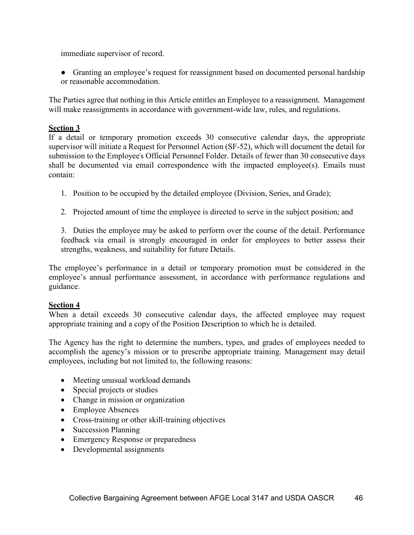immediate supervisor of record.

• Granting an employee's request for reassignment based on documented personal hardship or reasonable accommodation.

The Parties agree that nothing in this Article entitles an Employee to a reassignment. Management will make reassignments in accordance with government-wide law, rules, and regulations.

### **Section 3**

If a detail or temporary promotion exceeds 30 consecutive calendar days, the appropriate supervisor will initiate a Request for Personnel Action (SF-52), which will document the detail for submission to the Employee's Official Personnel Folder. Details of fewer than 30 consecutive days shall be documented via email correspondence with the impacted employee(s). Emails must contain:

- 1. Position to be occupied by the detailed employee (Division, Series, and Grade);
- 2. Projected amount of time the employee is directed to serve in the subject position; and

3. Duties the employee may be asked to perform over the course of the detail. Performance feedback via email is strongly encouraged in order for employees to better assess their strengths, weakness, and suitability for future Details.

The employee's performance in a detail or temporary promotion must be considered in the employee's annual performance assessment, in accordance with performance regulations and guidance.

#### **Section 4**

When a detail exceeds 30 consecutive calendar days, the affected employee may request appropriate training and a copy of the Position Description to which he is detailed.

The Agency has the right to determine the numbers, types, and grades of employees needed to accomplish the agency's mission or to prescribe appropriate training. Management may detail employees, including but not limited to, the following reasons:

- Meeting unusual workload demands
- Special projects or studies
- Change in mission or organization
- Employee Absences
- Cross-training or other skill-training objectives
- Succession Planning
- Emergency Response or preparedness
- Developmental assignments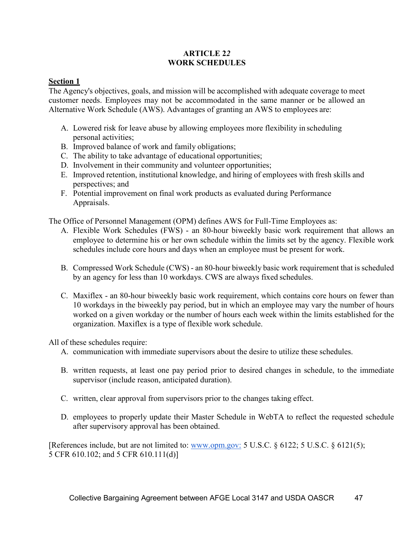# **ARTICLE 2***2*  **WORK SCHEDULES**

# **Section 1**

The Agency's objectives, goals, and mission will be accomplished with adequate coverage to meet customer needs. Employees may not be accommodated in the same manner or be allowed an Alternative Work Schedule (AWS). Advantages of granting an AWS to employees are:

- A. Lowered risk for leave abuse by allowing employees more flexibility in scheduling personal activities;
- B. Improved balance of work and family obligations;
- C. The ability to take advantage of educational opportunities;
- D. Involvement in their community and volunteer opportunities;
- E. Improved retention, institutional knowledge, and hiring of employees with fresh skills and perspectives; and
- F. Potential improvement on final work products as evaluated during Performance Appraisals.

The Office of Personnel Management (OPM) defines AWS for Full-Time Employees as:

- A. Flexible Work Schedules (FWS) an 80-hour biweekly basic work requirement that allows an employee to determine his or her own schedule within the limits set by the agency. Flexible work schedules include core hours and days when an employee must be present for work.
- B. Compressed Work Schedule (CWS) an 80-hour biweekly basic work requirement that is scheduled by an agency for less than 10 workdays. CWS are always fixed schedules.
- C. Maxiflex an 80-hour biweekly basic work requirement, which contains core hours on fewer than 10 workdays in the biweekly pay period, but in which an employee may vary the number of hours worked on a given workday or the number of hours each week within the limits established for the organization. Maxiflex is a type of flexible work schedule.

All of these schedules require:

- A. communication with immediate supervisors about the desire to utilize these schedules.
- B. written requests, at least one pay period prior to desired changes in schedule, to the immediate supervisor (include reason, anticipated duration).
- C. written, clear approval from supervisors prior to the changes taking effect.
- D. employees to properly update their Master Schedule in WebTA to reflect the requested schedule after supervisory approval has been obtained.

[References include, but are not limited to: [www.opm.gov:](http://www.opm.gov/) 5 U.S.C. § 6122; 5 U.S.C. § 6121(5); 5 CFR 610.102; and 5 CFR 610.111(d)]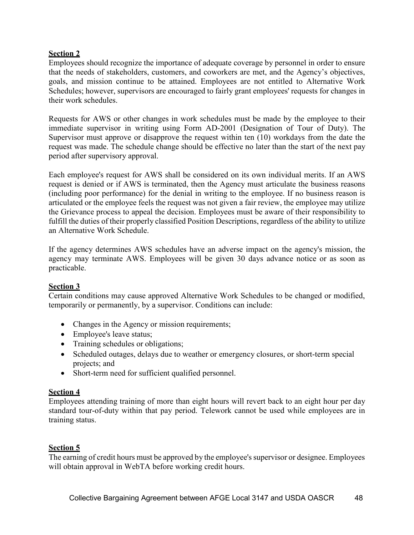# **Section 2**

Employees should recognize the importance of adequate coverage by personnel in order to ensure that the needs of stakeholders, customers, and coworkers are met, and the Agency's objectives, goals, and mission continue to be attained. Employees are not entitled to Alternative Work Schedules; however, supervisors are encouraged to fairly grant employees' requests for changes in their work schedules.

Requests for AWS or other changes in work schedules must be made by the employee to their immediate supervisor in writing using Form AD-2001 (Designation of Tour of Duty). The Supervisor must approve or disapprove the request within ten (10) workdays from the date the request was made. The schedule change should be effective no later than the start of the next pay period after supervisory approval.

Each employee's request for AWS shall be considered on its own individual merits. If an AWS request is denied or if AWS is terminated, then the Agency must articulate the business reasons (including poor performance) for the denial in writing to the employee. If no business reason is articulated or the employee feels the request was not given a fair review, the employee may utilize the Grievance process to appeal the decision. Employees must be aware of their responsibility to fulfill the duties of their properly classified Position Descriptions, regardless of the ability to utilize an Alternative Work Schedule.

If the agency determines AWS schedules have an adverse impact on the agency's mission, the agency may terminate AWS. Employees will be given 30 days advance notice or as soon as practicable.

# **Section 3**

Certain conditions may cause approved Alternative Work Schedules to be changed or modified, temporarily or permanently, by a supervisor. Conditions can include:

- Changes in the Agency or mission requirements;
- Employee's leave status;
- Training schedules or obligations;
- Scheduled outages, delays due to weather or emergency closures, or short-term special projects; and
- Short-term need for sufficient qualified personnel.

# **Section 4**

Employees attending training of more than eight hours will revert back to an eight hour per day standard tour-of-duty within that pay period. Telework cannot be used while employees are in training status.

# **Section 5**

The earning of credit hours must be approved by the employee's supervisor or designee. Employees will obtain approval in WebTA before working credit hours.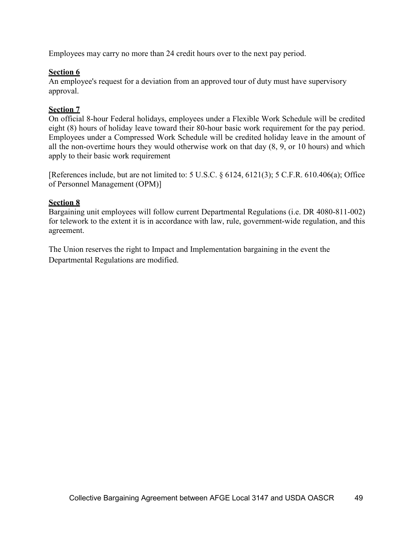Employees may carry no more than 24 credit hours over to the next pay period.

### **Section 6**

An employee's request for a deviation from an approved tour of duty must have supervisory approval.

### **Section 7**

On official 8-hour Federal holidays, employees under a Flexible Work Schedule will be credited eight (8) hours of holiday leave toward their 80-hour basic work requirement for the pay period. Employees under a Compressed Work Schedule will be credited holiday leave in the amount of all the non-overtime hours they would otherwise work on that day (8, 9, or 10 hours) and which apply to their basic work requirement

[References include, but are not limited to: 5 U.S.C. § 6124, 6121(3); 5 C.F.R. 610.406(a); Office of Personnel Management (OPM)]

#### **Section 8**

Bargaining unit employees will follow current Departmental Regulations (i.e. DR 4080-811-002) for telework to the extent it is in accordance with law, rule, government-wide regulation, and this agreement.

The Union reserves the right to Impact and Implementation bargaining in the event the Departmental Regulations are modified.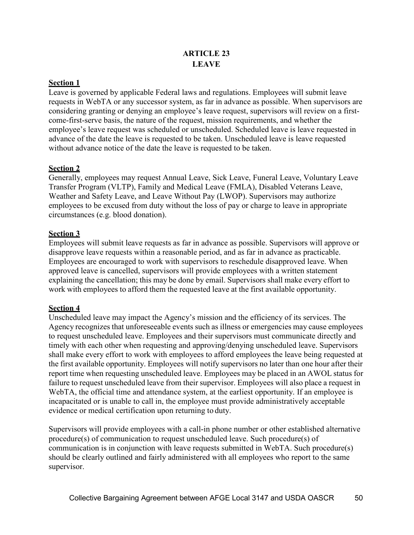# **ARTICLE 23 LEAVE**

# **Section 1**

Leave is governed by applicable Federal laws and regulations. Employees will submit leave requests in WebTA or any successor system, as far in advance as possible. When supervisors are considering granting or denying an employee's leave request, supervisors will review on a firstcome-first-serve basis, the nature of the request, mission requirements, and whether the employee's leave request was scheduled or unscheduled. Scheduled leave is leave requested in advance of the date the leave is requested to be taken. Unscheduled leave is leave requested without advance notice of the date the leave is requested to be taken.

# **Section 2**

Generally, employees may request Annual Leave, Sick Leave, Funeral Leave, Voluntary Leave Transfer Program (VLTP), Family and Medical Leave (FMLA), Disabled Veterans Leave, Weather and Safety Leave, and Leave Without Pay (LWOP). Supervisors may authorize employees to be excused from duty without the loss of pay or charge to leave in appropriate circumstances (e.g. blood donation).

# **Section 3**

Employees will submit leave requests as far in advance as possible. Supervisors will approve or disapprove leave requests within a reasonable period, and as far in advance as practicable. Employees are encouraged to work with supervisors to reschedule disapproved leave. When approved leave is cancelled, supervisors will provide employees with a written statement explaining the cancellation; this may be done by email. Supervisors shall make every effort to work with employees to afford them the requested leave at the first available opportunity.

# **Section 4**

Unscheduled leave may impact the Agency's mission and the efficiency of its services. The Agency recognizes that unforeseeable events such as illness or emergencies may cause employees to request unscheduled leave. Employees and their supervisors must communicate directly and timely with each other when requesting and approving/denying unscheduled leave. Supervisors shall make every effort to work with employees to afford employees the leave being requested at the first available opportunity. Employees will notify supervisors no later than one hour after their report time when requesting unscheduled leave. Employees may be placed in an AWOL status for failure to request unscheduled leave from their supervisor. Employees will also place a request in WebTA, the official time and attendance system, at the earliest opportunity. If an employee is incapacitated or is unable to call in, the employee must provide administratively acceptable evidence or medical certification upon returning to duty.

Supervisors will provide employees with a call-in phone number or other established alternative procedure(s) of communication to request unscheduled leave. Such procedure(s) of communication is in conjunction with leave requests submitted in WebTA. Such procedure(s) should be clearly outlined and fairly administered with all employees who report to the same supervisor.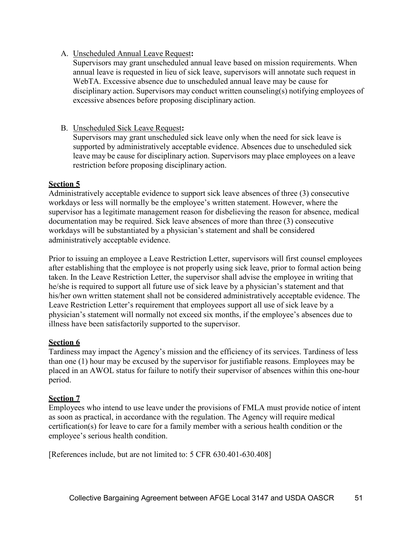## A. Unscheduled Annual Leave Request**:**

Supervisors may grant unscheduled annual leave based on mission requirements. When annual leave is requested in lieu of sick leave, supervisors will annotate such request in WebTA. Excessive absence due to unscheduled annual leave may be cause for disciplinary action. Supervisors may conduct written counseling(s) notifying employees of excessive absences before proposing disciplinary action.

### B. Unscheduled Sick Leave Request**:**

Supervisors may grant unscheduled sick leave only when the need for sick leave is supported by administratively acceptable evidence. Absences due to unscheduled sick leave may be cause for disciplinary action. Supervisors may place employees on a leave restriction before proposing disciplinary action.

### **Section 5**

Administratively acceptable evidence to support sick leave absences of three (3) consecutive workdays or less will normally be the employee's written statement. However, where the supervisor has a legitimate management reason for disbelieving the reason for absence, medical documentation may be required. Sick leave absences of more than three (3) consecutive workdays will be substantiated by a physician's statement and shall be considered administratively acceptable evidence.

Prior to issuing an employee a Leave Restriction Letter, supervisors will first counsel employees after establishing that the employee is not properly using sick leave, prior to formal action being taken. In the Leave Restriction Letter, the supervisor shall advise the employee in writing that he/she is required to support all future use of sick leave by a physician's statement and that his/her own written statement shall not be considered administratively acceptable evidence. The Leave Restriction Letter's requirement that employees support all use of sick leave by a physician's statement will normally not exceed six months, if the employee's absences due to illness have been satisfactorily supported to the supervisor.

# **Section 6**

Tardiness may impact the Agency's mission and the efficiency of its services. Tardiness of less than one (1) hour may be excused by the supervisor for justifiable reasons. Employees may be placed in an AWOL status for failure to notify their supervisor of absences within this one-hour period.

# **Section 7**

Employees who intend to use leave under the provisions of FMLA must provide notice of intent as soon as practical, in accordance with the regulation. The Agency will require medical certification(s) for leave to care for a family member with a serious health condition or the employee's serious health condition.

[References include, but are not limited to: 5 CFR 630.401-630.408]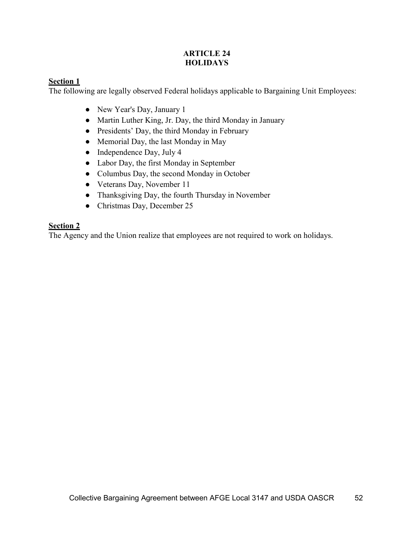# **ARTICLE 24 HOLIDAYS**

# **Section 1**

The following are legally observed Federal holidays applicable to Bargaining Unit Employees:

- New Year's Day, January 1
- Martin Luther King, Jr. Day, the third Monday in January
- Presidents' Day, the third Monday in February
- Memorial Day, the last Monday in May
- Independence Day, July 4
- Labor Day, the first Monday in September
- Columbus Day, the second Monday in October
- Veterans Day, November 11
- Thanksgiving Day, the fourth Thursday in November
- Christmas Day, December 25

# **Section 2**

The Agency and the Union realize that employees are not required to work on holidays.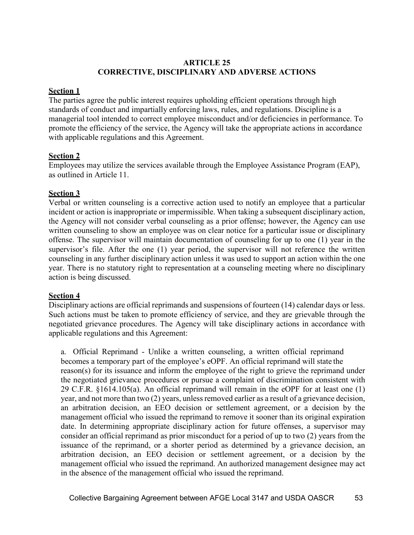## **ARTICLE 25 CORRECTIVE, DISCIPLINARY AND ADVERSE ACTIONS**

# **Section 1**

The parties agree the public interest requires upholding efficient operations through high standards of conduct and impartially enforcing laws, rules, and regulations. Discipline is a managerial tool intended to correct employee misconduct and/or deficiencies in performance. To promote the efficiency of the service, the Agency will take the appropriate actions in accordance with applicable regulations and this Agreement.

# **Section 2**

Employees may utilize the services available through the Employee Assistance Program (EAP), as outlined in Article 11.

# **Section 3**

Verbal or written counseling is a corrective action used to notify an employee that a particular incident or action is inappropriate or impermissible. When taking a subsequent disciplinary action, the Agency will not consider verbal counseling as a prior offense; however, the Agency can use written counseling to show an employee was on clear notice for a particular issue or disciplinary offense. The supervisor will maintain documentation of counseling for up to one (1) year in the supervisor's file. After the one (1) year period, the supervisor will not reference the written counseling in any further disciplinary action unless it was used to support an action within the one year. There is no statutory right to representation at a counseling meeting where no disciplinary action is being discussed.

# **Section 4**

Disciplinary actions are official reprimands and suspensions of fourteen (14) calendar days or less. Such actions must be taken to promote efficiency of service, and they are grievable through the negotiated grievance procedures. The Agency will take disciplinary actions in accordance with applicable regulations and this Agreement:

a. Official Reprimand - Unlike a written counseling, a written official reprimand becomes a temporary part of the employee's eOPF. An official reprimand will state the reason(s) for its issuance and inform the employee of the right to grieve the reprimand under the negotiated grievance procedures or pursue a complaint of discrimination consistent with 29 C.F.R. §1614.105(a). An official reprimand will remain in the eOPF for at least one (1) year, and not more than two (2) years, unless removed earlier as a result of a grievance decision, an arbitration decision, an EEO decision or settlement agreement, or a decision by the management official who issued the reprimand to remove it sooner than its original expiration date. In determining appropriate disciplinary action for future offenses, a supervisor may consider an official reprimand as prior misconduct for a period of up to two (2) years from the issuance of the reprimand, or a shorter period as determined by a grievance decision, an arbitration decision, an EEO decision or settlement agreement, or a decision by the management official who issued the reprimand. An authorized management designee may act in the absence of the management official who issued the reprimand.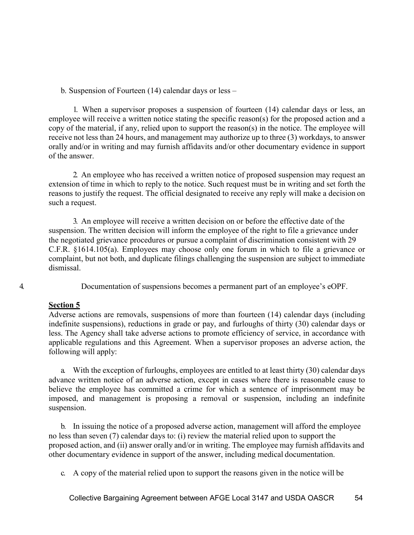b. Suspension of Fourteen (14) calendar days or less –

1. When a supervisor proposes a suspension of fourteen (14) calendar days or less, an employee will receive a written notice stating the specific reason(s) for the proposed action and a copy of the material, if any, relied upon to support the reason(s) in the notice. The employee will receive not less than 24 hours, and management may authorize up to three (3) workdays, to answer orally and/or in writing and may furnish affidavits and/or other documentary evidence in support of the answer.

2. An employee who has received a written notice of proposed suspension may request an extension of time in which to reply to the notice. Such request must be in writing and set forth the reasons to justify the request. The official designated to receive any reply will make a decision on such a request.

3. An employee will receive a written decision on or before the effective date of the suspension. The written decision will inform the employee of the right to file a grievance under the negotiated grievance procedures or pursue a complaint of discrimination consistent with 29 C.F.R. §1614.105(a). Employees may choose only one forum in which to file a grievance or complaint, but not both, and duplicate filings challenging the suspension are subject to immediate dismissal.

4. Documentation of suspensions becomes a permanent part of an employee's eOPF.

# **Section 5**

Adverse actions are removals, suspensions of more than fourteen (14) calendar days (including indefinite suspensions), reductions in grade or pay, and furloughs of thirty (30) calendar days or less. The Agency shall take adverse actions to promote efficiency of service, in accordance with applicable regulations and this Agreement. When a supervisor proposes an adverse action, the following will apply:

a. With the exception of furloughs, employees are entitled to at least thirty (30) calendar days advance written notice of an adverse action, except in cases where there is reasonable cause to believe the employee has committed a crime for which a sentence of imprisonment may be imposed, and management is proposing a removal or suspension, including an indefinite suspension.

b. In issuing the notice of a proposed adverse action, management will afford the employee no less than seven (7) calendar days to: (i) review the material relied upon to support the proposed action, and (ii) answer orally and/or in writing. The employee may furnish affidavits and other documentary evidence in support of the answer, including medical documentation.

c. A copy of the material relied upon to support the reasons given in the notice will be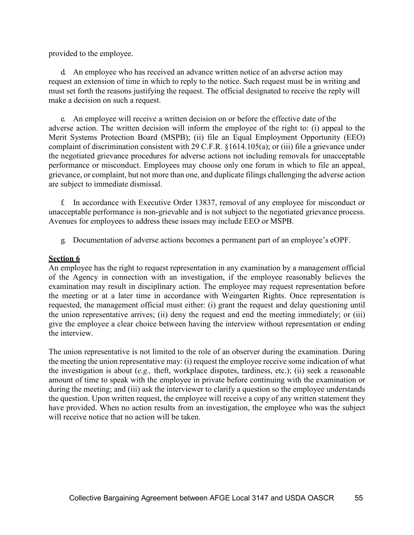provided to the employee.

d. An employee who has received an advance written notice of an adverse action may request an extension of time in which to reply to the notice. Such request must be in writing and must set forth the reasons justifying the request. The official designated to receive the reply will make a decision on such a request.

e. An employee will receive a written decision on or before the effective date of the adverse action. The written decision will inform the employee of the right to: (i) appeal to the Merit Systems Protection Board (MSPB); (ii) file an Equal Employment Opportunity (EEO) complaint of discrimination consistent with 29 C.F.R. §1614.105(a); or (iii) file a grievance under the negotiated grievance procedures for adverse actions not including removals for unacceptable performance or misconduct. Employees may choose only one forum in which to file an appeal, grievance, or complaint, but not more than one, and duplicate filings challenging the adverse action are subject to immediate dismissal.

f. In accordance with Executive Order 13837, removal of any employee for misconduct or unacceptable performance is non-grievable and is not subject to the negotiated grievance process. Avenues for employees to address these issues may include EEO or MSPB.

g. Documentation of adverse actions becomes a permanent part of an employee's eOPF.

#### **Section 6**

An employee has the right to request representation in any examination by a management official of the Agency in connection with an investigation, if the employee reasonably believes the examination may result in disciplinary action. The employee may request representation before the meeting or at a later time in accordance with Weingarten Rights. Once representation is requested, the management official must either: (i) grant the request and delay questioning until the union representative arrives; (ii) deny the request and end the meeting immediately; or (iii) give the employee a clear choice between having the interview without representation or ending the interview.

The union representative is not limited to the role of an observer during the examination. During the meeting the union representative may: (i) request the employee receive some indication of what the investigation is about (*e.g.,* theft, workplace disputes, tardiness, etc.); (ii) seek a reasonable amount of time to speak with the employee in private before continuing with the examination or during the meeting; and (iii) ask the interviewer to clarify a question so the employee understands the question. Upon written request, the employee will receive a copy of any written statement they have provided. When no action results from an investigation, the employee who was the subject will receive notice that no action will be taken.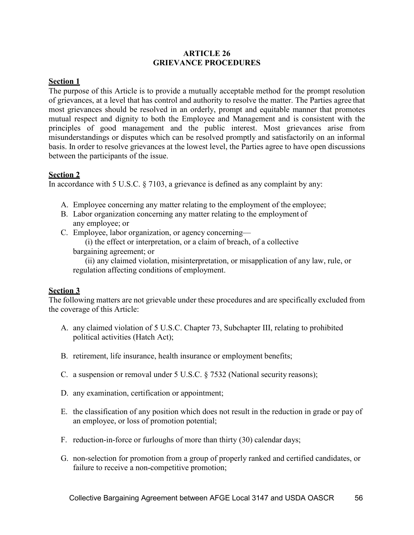#### **ARTICLE 26 GRIEVANCE PROCEDURES**

# **Section 1**

The purpose of this Article is to provide a mutually acceptable method for the prompt resolution of grievances, at a level that has control and authority to resolve the matter. The Parties agree that most grievances should be resolved in an orderly, prompt and equitable manner that promotes mutual respect and dignity to both the Employee and Management and is consistent with the principles of good management and the public interest. Most grievances arise from misunderstandings or disputes which can be resolved promptly and satisfactorily on an informal basis. In order to resolve grievances at the lowest level, the Parties agree to have open discussions between the participants of the issue.

### **Section 2**

In accordance with 5 U.S.C. § 7103, a grievance is defined as any complaint by any:

- A. Employee concerning any matter relating to the employment of the [employee;](https://www.law.cornell.edu/uscode/text/5/7103)
- B. Labor organization concerning any matter relating to the employment of any [employee;](https://www.law.cornell.edu/uscode/text/5/7103) or
- C. Employe[e, labor organization,](https://www.law.cornell.edu/uscode/text/5/7103) or [agency](https://www.law.cornell.edu/uscode/text/5/7103) concerning—

(i) the effect or interpretation, or a claim of breach, of a [collective](https://www.law.cornell.edu/uscode/text/5/7103) [bargaining a](https://www.law.cornell.edu/uscode/text/5/7103)greement; or

(ii) any claimed violation, misinterpretation, or misapplication of any law, [rule,](https://www.law.cornell.edu/uscode/text/5/7103) or regulation affecting [conditions of](https://www.law.cornell.edu/uscode/text/5/7103) employment.

# **Section 3**

The following matters are not grievable under these procedures and are specifically excluded from the coverage of this Article:

- A. any claimed violation of 5 U.S.C. Chapter 73, Subchapter III, relating to prohibited political activities (Hatch Act);
- B. retirement, life insurance, health insurance or employment benefits;
- C. a suspension or removal under 5 U.S.C. § 7532 (National security reasons);
- D. any examination, certification or appointment;
- E. the classification of any position which does not result in the reduction in grade or pay of an employee, or loss of promotion potential;
- F. reduction-in-force or furloughs of more than thirty (30) calendar days;
- G. non-selection for promotion from a group of properly ranked and certified candidates, or failure to receive a non-competitive promotion;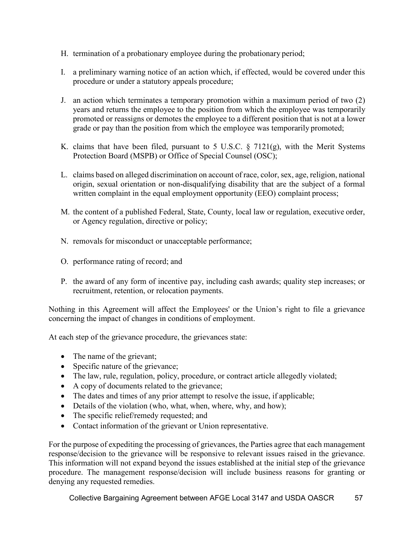- H. termination of a probationary employee during the probationary period;
- I. a preliminary warning notice of an action which, if effected, would be covered under this procedure or under a statutory appeals procedure;
- J. an action which terminates a temporary promotion within a maximum period of two (2) years and returns the employee to the position from which the employee was temporarily promoted or reassigns or demotes the employee to a different position that is not at a lower grade or pay than the position from which the employee was temporarily promoted;
- K. claims that have been filed, pursuant to 5 U.S.C.  $\S$  7121(g), with the Merit Systems Protection Board (MSPB) or Office of Special Counsel (OSC);
- L. claims based on alleged discrimination on account of race, color, sex, age, religion, national origin, sexual orientation or non-disqualifying disability that are the subject of a formal written complaint in the equal employment opportunity (EEO) complaint process;
- M. the content of a published Federal, State, County, local law or regulation, executive order, or Agency regulation, directive or policy;
- N. removals for misconduct or unacceptable performance;
- O. performance rating of record; and
- P. the award of any form of incentive pay, including cash awards; quality step increases; or recruitment, retention, or relocation payments.

Nothing in this Agreement will affect the Employees' or the Union's right to file a grievance concerning the impact of changes in conditions of employment.

At each step of the grievance procedure, the grievances state:

- The name of the grievant;
- Specific nature of the grievance;
- The law, rule, regulation, policy, procedure, or contract article allegedly violated;
- A copy of documents related to the grievance;
- The dates and times of any prior attempt to resolve the issue, if applicable;
- Details of the violation (who, what, when, where, why, and how);
- The specific relief/remedy requested; and
- Contact information of the grievant or Union representative.

For the purpose of expediting the processing of grievances, the Parties agree that each management response/decision to the grievance will be responsive to relevant issues raised in the grievance. This information will not expand beyond the issues established at the initial step of the grievance procedure. The management response/decision will include business reasons for granting or denying any requested remedies.

Collective Bargaining Agreement between AFGE Local 3147 and USDA OASCR 57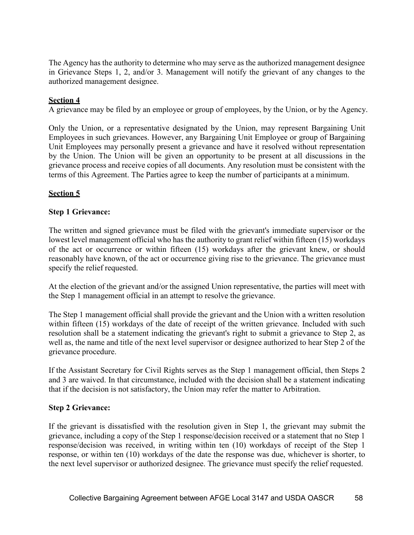The Agency has the authority to determine who may serve as the authorized management designee in Grievance Steps 1, 2, and/or 3. Management will notify the grievant of any changes to the authorized management designee.

# **Section 4**

A grievance may be filed by an employee or group of employees, by the Union, or by the Agency.

Only the Union, or a representative designated by the Union, may represent Bargaining Unit Employees in such grievances. However, any Bargaining Unit Employee or group of Bargaining Unit Employees may personally present a grievance and have it resolved without representation by the Union. The Union will be given an opportunity to be present at all discussions in the grievance process and receive copies of all documents. Any resolution must be consistent with the terms of this Agreement. The Parties agree to keep the number of participants at a minimum.

# **Section 5**

### **Step 1 Grievance:**

The written and signed grievance must be filed with the grievant's immediate supervisor or the lowest level management official who has the authority to grant relief within fifteen (15) workdays of the act or occurrence or within fifteen (15) workdays after the grievant knew, or should reasonably have known, of the act or occurrence giving rise to the grievance. The grievance must specify the relief requested.

At the election of the grievant and/or the assigned Union representative, the parties will meet with the Step 1 management official in an attempt to resolve the grievance.

The Step 1 management official shall provide the grievant and the Union with a written resolution within fifteen (15) workdays of the date of receipt of the written grievance. Included with such resolution shall be a statement indicating the grievant's right to submit a grievance to Step 2, as well as, the name and title of the next level supervisor or designee authorized to hear Step 2 of the grievance procedure.

If the Assistant Secretary for Civil Rights serves as the Step 1 management official, then Steps 2 and 3 are waived. In that circumstance, included with the decision shall be a statement indicating that if the decision is not satisfactory, the Union may refer the matter to Arbitration.

#### **Step 2 Grievance:**

If the grievant is dissatisfied with the resolution given in Step 1, the grievant may submit the grievance, including a copy of the Step 1 response/decision received or a statement that no Step 1 response/decision was received, in writing within ten (10) workdays of receipt of the Step 1 response, or within ten (10) workdays of the date the response was due, whichever is shorter, to the next level supervisor or authorized designee. The grievance must specify the relief requested.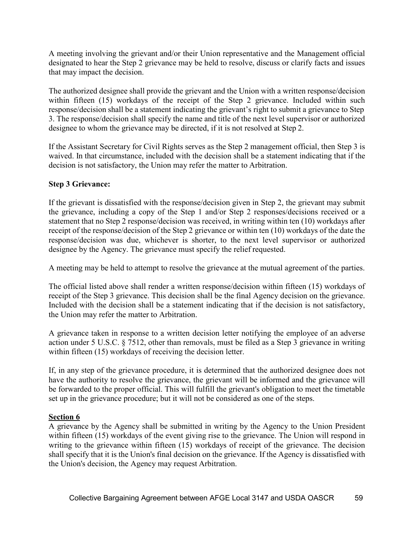A meeting involving the grievant and/or their Union representative and the Management official designated to hear the Step 2 grievance may be held to resolve, discuss or clarify facts and issues that may impact the decision.

The authorized designee shall provide the grievant and the Union with a written response/decision within fifteen (15) workdays of the receipt of the Step 2 grievance. Included within such response/decision shall be a statement indicating the grievant's right to submit a grievance to Step 3. The response/decision shall specify the name and title of the next level supervisor or authorized designee to whom the grievance may be directed, if it is not resolved at Step 2.

If the Assistant Secretary for Civil Rights serves as the Step 2 management official, then Step 3 is waived. In that circumstance, included with the decision shall be a statement indicating that if the decision is not satisfactory, the Union may refer the matter to Arbitration.

# **Step 3 Grievance:**

If the grievant is dissatisfied with the response/decision given in Step 2, the grievant may submit the grievance, including a copy of the Step 1 and/or Step 2 responses/decisions received or a statement that no Step 2 response/decision was received, in writing within ten (10) workdays after receipt of the response/decision of the Step 2 grievance or within ten (10) workdays of the date the response/decision was due, whichever is shorter, to the next level supervisor or authorized designee by the Agency. The grievance must specify the relief requested.

A meeting may be held to attempt to resolve the grievance at the mutual agreement of the parties.

The official listed above shall render a written response/decision within fifteen (15) workdays of receipt of the Step 3 grievance. This decision shall be the final Agency decision on the grievance. Included with the decision shall be a statement indicating that if the decision is not satisfactory, the Union may refer the matter to Arbitration.

A grievance taken in response to a written decision letter notifying the employee of an adverse action under 5 U.S.C. § 7512, other than removals, must be filed as a Step 3 grievance in writing within fifteen (15) workdays of receiving the decision letter.

If, in any step of the grievance procedure, it is determined that the authorized designee does not have the authority to resolve the grievance, the grievant will be informed and the grievance will be forwarded to the proper official. This will fulfill the grievant's obligation to meet the timetable set up in the grievance procedure; but it will not be considered as one of the steps.

# **Section 6**

A grievance by the Agency shall be submitted in writing by the Agency to the Union President within fifteen (15) workdays of the event giving rise to the grievance. The Union will respond in writing to the grievance within fifteen (15) workdays of receipt of the grievance. The decision shall specify that it is the Union's final decision on the grievance. If the Agency is dissatisfied with the Union's decision, the Agency may request Arbitration.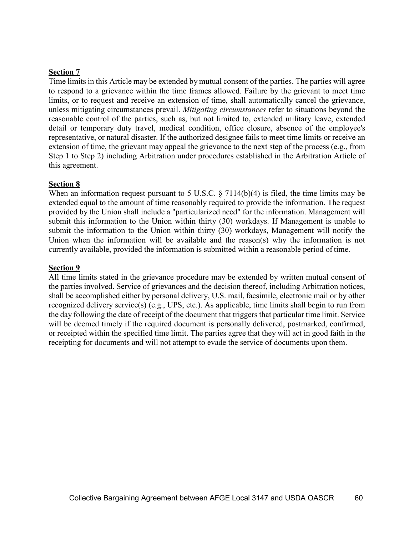#### **Section 7**

Time limits in this Article may be extended by mutual consent of the parties. The parties will agree to respond to a grievance within the time frames allowed. Failure by the grievant to meet time limits, or to request and receive an extension of time, shall automatically cancel the grievance, unless mitigating circumstances prevail. *Mitigating circumstances* refer to situations beyond the reasonable control of the parties, such as, but not limited to, extended military leave, extended detail or temporary duty travel, medical condition, office closure, absence of the employee's representative, or natural disaster. If the authorized designee fails to meet time limits or receive an extension of time, the grievant may appeal the grievance to the next step of the process (e.g., from Step 1 to Step 2) including Arbitration under procedures established in the Arbitration Article of this agreement.

#### **Section 8**

When an information request pursuant to 5 U.S.C. § 7114(b)(4) is filed, the time limits may be extended equal to the amount of time reasonably required to provide the information. The request provided by the Union shall include a "particularized need" for the information. Management will submit this information to the Union within thirty (30) workdays. If Management is unable to submit the information to the Union within thirty (30) workdays, Management will notify the Union when the information will be available and the reason(s) why the information is not currently available, provided the information is submitted within a reasonable period of time.

#### **Section 9**

All time limits stated in the grievance procedure may be extended by written mutual consent of the parties involved. Service of grievances and the decision thereof, including Arbitration notices, shall be accomplished either by personal delivery, U.S. mail, facsimile, electronic mail or by other recognized delivery service(s) (e.g., UPS, etc.). As applicable, time limits shall begin to run from the day following the date of receipt of the document that triggers that particular time limit. Service will be deemed timely if the required document is personally delivered, postmarked, confirmed, or receipted within the specified time limit. The parties agree that they will act in good faith in the receipting for documents and will not attempt to evade the service of documents upon them.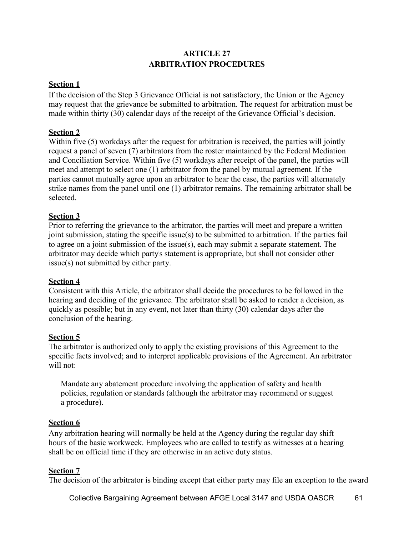# **ARTICLE 27 ARBITRATION PROCEDURES**

### **Section 1**

If the decision of the Step 3 Grievance Official is not satisfactory, the Union or the Agency may request that the grievance be submitted to arbitration. The request for arbitration must be made within thirty (30) calendar days of the receipt of the Grievance Official's decision.

### **Section 2**

Within five (5) workdays after the request for arbitration is received, the parties will jointly request a panel of seven (7) arbitrators from the roster maintained by the Federal Mediation and Conciliation Service. Within five (5) workdays after receipt of the panel, the parties will meet and attempt to select one (1) arbitrator from the panel by mutual agreement. If the parties cannot mutually agree upon an arbitrator to hear the case, the parties will alternately strike names from the panel until one (1) arbitrator remains. The remaining arbitrator shall be selected.

### **Section 3**

Prior to referring the grievance to the arbitrator, the parties will meet and prepare a written joint submission, stating the specific issue(s) to be submitted to arbitration. If the parties fail to agree on a joint submission of the issue(s), each may submit a separate statement. The arbitrator may decide which party's statement is appropriate, but shall not consider other issue(s) not submitted by either party.

#### **Section 4**

Consistent with this Article, the arbitrator shall decide the procedures to be followed in the hearing and deciding of the grievance. The arbitrator shall be asked to render a decision, as quickly as possible; but in any event, not later than thirty (30) calendar days after the conclusion of the hearing.

#### **Section 5**

The arbitrator is authorized only to apply the existing provisions of this Agreement to the specific facts involved; and to interpret applicable provisions of the Agreement. An arbitrator will not:

Mandate any abatement procedure involving the application of safety and health policies, regulation or standards (although the arbitrator may recommend or suggest a procedure).

#### **Section 6**

Any arbitration hearing will normally be held at the Agency during the regular day shift hours of the basic workweek. Employees who are called to testify as witnesses at a hearing shall be on official time if they are otherwise in an active duty status.

#### **Section 7**

The decision of the arbitrator is binding except that either party may file an exception to the award

Collective Bargaining Agreement between AFGE Local 3147 and USDA OASCR 61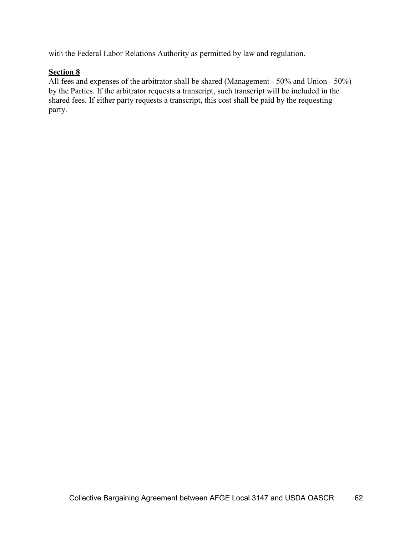with the Federal Labor Relations Authority as permitted by law and regulation.

# **Section 8**

All fees and expenses of the arbitrator shall be shared (Management - 50% and Union - 50%) by the Parties. If the arbitrator requests a transcript, such transcript will be included in the shared fees. If either party requests a transcript, this cost shall be paid by the requesting party.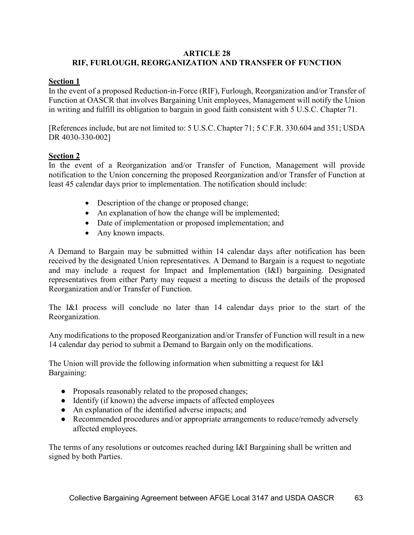#### **ARTICLE 28 RIF, FURLOUGH, REORGANIZATION AND TRANSFER OF FUNCTION**

### **Section 1**

In the event of a proposed Reduction-in-Force (RIF), Furlough, Reorganization and/or Transfer of Function at OASCR that involves Bargaining Unit employees, Management will notify the Union in writing and fulfill its obligation to bargain in good faith consistent with 5 U.S.C. Chapter 71.

[References include, but are not limited to: 5 U.S.C. Chapter 71; 5 C.F.R. 330.604 and 351; USDA DR 4030-330-002]

### **Section 2**

In the event of a Reorganization and/or Transfer of Function, Management will provide notification to the Union concerning the proposed Reorganization and/or Transfer of Function at least 45 calendar days prior to implementation. The notification should include:

- Description of the change or proposed change;
- An explanation of how the change will be implemented;
- Date of implementation or proposed implementation; and
- Any known impacts.

A Demand to Bargain may be submitted within 14 calendar days after notification has been received by the designated Union representatives. A Demand to Bargain is a request to negotiate and may include a request for Impact and Implementation (I&I) bargaining. Designated representatives from either Party may request a meeting to discuss the details of the proposed Reorganization and/or Transfer of Function.

The I&I process will conclude no later than 14 calendar days prior to the start of the Reorganization.

Any modifications to the proposed Reorganization and/or Transfer of Function will result in a new 14 calendar day period to submit a Demand to Bargain only on the modifications.

The Union will provide the following information when submitting a request for I&I Bargaining:

- Proposals reasonably related to the proposed changes;
- Identify (if known) the adverse impacts of affected employees
- An explanation of the identified adverse impacts; and
- Recommended procedures and/or appropriate arrangements to reduce/remedy adversely affected employees.

The terms of any resolutions or outcomes reached during I&I Bargaining shall be written and signed by both Parties.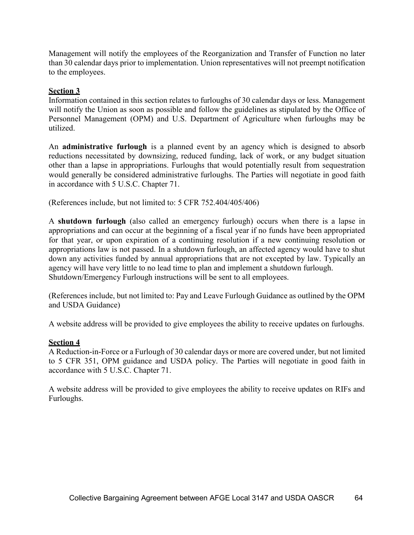Management will notify the employees of the Reorganization and Transfer of Function no later than 30 calendar days prior to implementation. Union representatives will not preempt notification to the employees.

# **Section 3**

Information contained in this section relates to furloughs of 30 calendar days or less. Management will notify the Union as soon as possible and follow the guidelines as stipulated by the Office of Personnel Management (OPM) and U.S. Department of Agriculture when furloughs may be utilized.

An **administrative furlough** is a planned event by an agency which is designed to absorb reductions necessitated by downsizing, reduced funding, lack of work, or any budget situation other than a lapse in appropriations. Furloughs that would potentially result from sequestration would generally be considered administrative furloughs. The Parties will negotiate in good faith in accordance with 5 U.S.C. Chapter 71.

(References include, but not limited to: 5 CFR 752.404/405/406)

A **shutdown furlough** (also called an emergency furlough) occurs when there is a lapse in appropriations and can occur at the beginning of a fiscal year if no funds have been appropriated for that year, or upon expiration of a continuing resolution if a new continuing resolution or appropriations law is not passed. In a shutdown furlough, an affected agency would have to shut down any activities funded by annual appropriations that are not excepted by law. Typically an agency will have very little to no lead time to plan and implement a shutdown furlough. Shutdown/Emergency Furlough instructions will be sent to all employees.

(References include, but not limited to: Pay and Leave Furlough Guidance as outlined by the OPM and USDA Guidance)

A website address will be provided to give employees the ability to receive updates on furloughs.

# **Section 4**

A Reduction-in-Force or a Furlough of 30 calendar days or more are covered under, but not limited to 5 CFR 351, OPM guidance and USDA policy. The Parties will negotiate in good faith in accordance with 5 U.S.C. Chapter 71.

A website address will be provided to give employees the ability to receive updates on RIFs and Furloughs.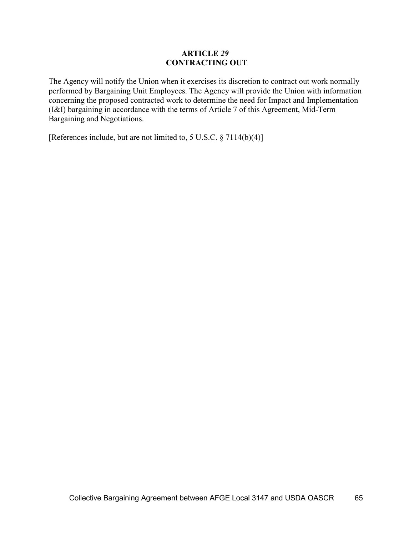#### **ARTICLE** *29* **CONTRACTING OUT**

The Agency will notify the Union when it exercises its discretion to contract out work normally performed by Bargaining Unit Employees. The Agency will provide the Union with information concerning the proposed contracted work to determine the need for Impact and Implementation (I&I) bargaining in accordance with the terms of Article 7 of this Agreement, Mid-Term Bargaining and Negotiations.

[References include, but are not limited to, 5 U.S.C. § 7114(b)(4)]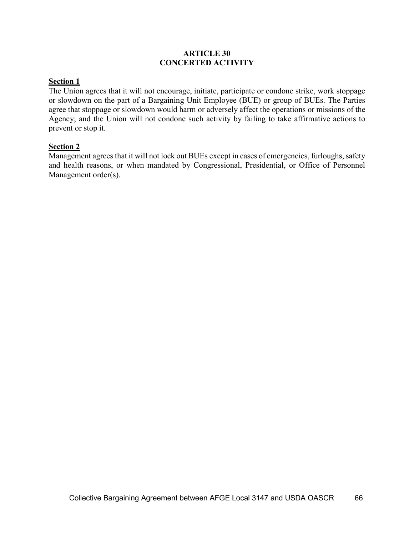### **ARTICLE 30 CONCERTED ACTIVITY**

# **Section 1**

The Union agrees that it will not encourage, initiate, participate or condone strike, work stoppage or slowdown on the part of a Bargaining Unit Employee (BUE) or group of BUEs. The Parties agree that stoppage or slowdown would harm or adversely affect the operations or missions of the Agency; and the Union will not condone such activity by failing to take affirmative actions to prevent or stop it.

#### **Section 2**

Management agrees that it will not lock out BUEs except in cases of emergencies, furloughs, safety and health reasons, or when mandated by Congressional, Presidential, or Office of Personnel Management order(s).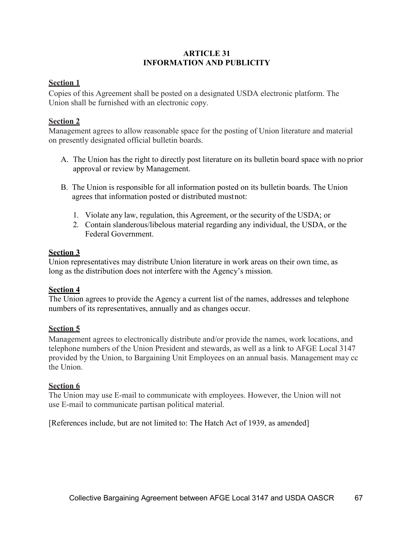# **ARTICLE 31 INFORMATION AND PUBLICITY**

### **Section 1**

Copies of this Agreement shall be posted on a designated USDA electronic platform. The Union shall be furnished with an electronic copy.

# **Section 2**

Management agrees to allow reasonable space for the posting of Union literature and material on presently designated official bulletin boards.

- A. The Union has the right to directly post literature on its bulletin board space with no prior approval or review by Management.
- B. The Union is responsible for all information posted on its bulletin boards. The Union agrees that information posted or distributed mustnot:
	- 1. Violate any law, regulation, this Agreement, or the security of the USDA; or
	- 2. Contain slanderous/libelous material regarding any individual, the USDA, or the Federal Government.

# **Section 3**

Union representatives may distribute Union literature in work areas on their own time, as long as the distribution does not interfere with the Agency's mission.

# **Section 4**

The Union agrees to provide the Agency a current list of the names, addresses and telephone numbers of its representatives, annually and as changes occur.

# **Section 5**

Management agrees to electronically distribute and/or provide the names, work locations, and telephone numbers of the Union President and stewards, as well as a link to AFGE Local 3147 provided by the Union, to Bargaining Unit Employees on an annual basis. Management may cc the Union.

#### **Section 6**

The Union may use E-mail to communicate with employees. However, the Union will not use E-mail to communicate partisan political material.

[References include, but are not limited to: The Hatch Act of 1939, as amended]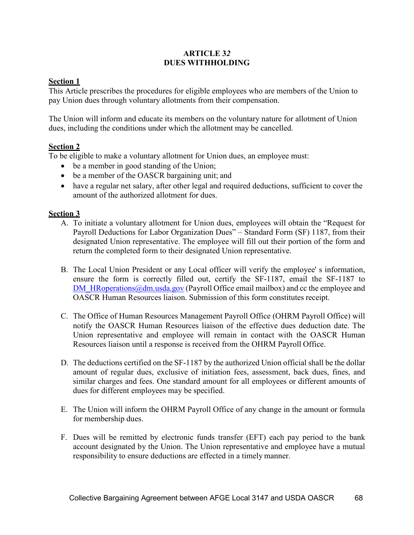# **ARTICLE 3***2*  **DUES WITHHOLDING**

# **Section 1**

This Article prescribes the procedures for eligible employees who are members of the Union to pay Union dues through voluntary allotments from their compensation.

The Union will inform and educate its members on the voluntary nature for allotment of Union dues, including the conditions under which the allotment may be cancelled.

# **Section 2**

To be eligible to make a voluntary allotment for Union dues, an employee must:

- be a member in good standing of the Union;
- be a member of the OASCR bargaining unit; and
- have a regular net salary, after other legal and required deductions, sufficient to cover the amount of the authorized allotment for dues.

# **Section 3**

- A. To initiate a voluntary allotment for Union dues, employees will obtain the "Request for Payroll Deductions for Labor Organization Dues" – Standard Form (SF) 1187, from their designated Union representative. The employee will fill out their portion of the form and return the completed form to their designated Union representative.
- B. The Local Union President or any Local officer will verify the employee' s information, ensure the form is correctly filled out, certify the SF-1187, email the SF-1187 t[o](mailto:DM_HRoperations@dm.usda.gov) DM  $HR operations@dm.usda.gov$  (Payroll Office email mailbox) and cc the employee and OASCR Human Resources liaison. Submission of this form constitutes receipt.
- C. The Office of Human Resources Management Payroll Office (OHRM Payroll Office) will notify the OASCR Human Resources liaison of the effective dues deduction date. The Union representative and employee will remain in contact with the OASCR Human Resources liaison until a response is received from the OHRM Payroll Office.
- D. The deductions certified on the SF-1187 by the authorized Union official shall be the dollar amount of regular dues, exclusive of initiation fees, assessment, back dues, fines, and similar charges and fees. One standard amount for all employees or different amounts of dues for different employees may be specified.
- E. The Union will inform the OHRM Payroll Office of any change in the amount or formula for membership dues.
- F. Dues will be remitted by electronic funds transfer (EFT) each pay period to the bank account designated by the Union. The Union representative and employee have a mutual responsibility to ensure deductions are effected in a timely manner.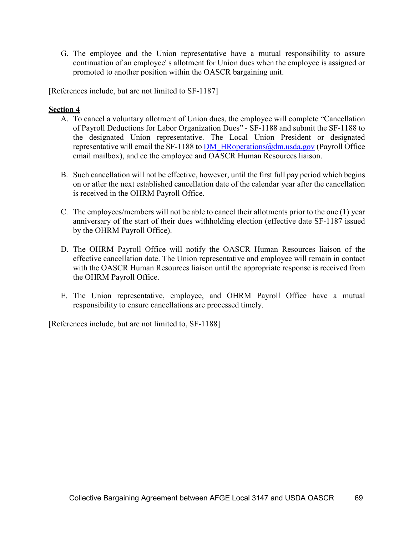G. The employee and the Union representative have a mutual responsibility to assure continuation of an employee' s allotment for Union dues when the employee is assigned or promoted to another position within the OASCR bargaining unit.

[References include, but are not limited to SF-1187]

### **Section 4**

- A. To cancel a voluntary allotment of Union dues, the employee will complete "Cancellation of Payroll Deductions for Labor Organization Dues" - SF-1188 and submit the SF-1188 to the designated Union representative. The Local Union President or designated representative will email the SF-1188 to DM  $HR operations@dm.usda.gov$  (Payroll Office email mailbox), and cc the employee and OASCR Human Resources liaison.
- B. Such cancellation will not be effective, however, until the first full pay period which begins on or after the next established cancellation date of the calendar year after the cancellation is received in the OHRM Payroll Office.
- C. The employees/members will not be able to cancel their allotments prior to the one (1) year anniversary of the start of their dues withholding election (effective date SF-1187 issued by the OHRM Payroll Office).
- D. The OHRM Payroll Office will notify the OASCR Human Resources liaison of the effective cancellation date. The Union representative and employee will remain in contact with the OASCR Human Resources liaison until the appropriate response is received from the OHRM Payroll Office.
- E. The Union representative, employee, and OHRM Payroll Office have a mutual responsibility to ensure cancellations are processed timely.

[References include, but are not limited to, SF-1188]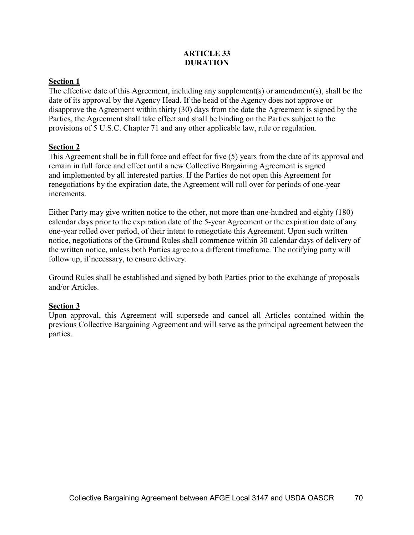## **ARTICLE 33 DURATION**

# **Section 1**

The effective date of this Agreement, including any supplement(s) or amendment(s), shall be the date of its approval by the Agency Head. If the head of the Agency does not approve or disapprove the Agreement within thirty (30) days from the date the Agreement is signed by the Parties, the Agreement shall take effect and shall be binding on the Parties subject to the provisions of 5 U.S.C. Chapter 71 and any other applicable law, rule or regulation.

### **Section 2**

This Agreement shall be in full force and effect for five (5) years from the date of its approval and remain in full force and effect until a new Collective Bargaining Agreement is signed and implemented by all interested parties. If the Parties do not open this Agreement for renegotiations by the expiration date, the Agreement will roll over for periods of one-year increments.

Either Party may give written notice to the other, not more than one-hundred and eighty (180) calendar days prior to the expiration date of the 5-year Agreement or the expiration date of any one-year rolled over period, of their intent to renegotiate this Agreement. Upon such written notice, negotiations of the Ground Rules shall commence within 30 calendar days of delivery of the written notice, unless both Parties agree to a different timeframe. The notifying party will follow up, if necessary, to ensure delivery.

Ground Rules shall be established and signed by both Parties prior to the exchange of proposals and/or Articles.

## **Section 3**

Upon approval, this Agreement will supersede and cancel all Articles contained within the previous Collective Bargaining Agreement and will serve as the principal agreement between the parties.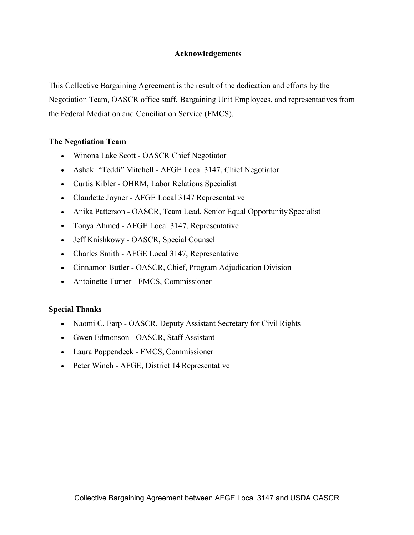## **Acknowledgements**

This Collective Bargaining Agreement is the result of the dedication and efforts by the Negotiation Team, OASCR office staff, Bargaining Unit Employees, and representatives from the Federal Mediation and Conciliation Service (FMCS).

### **The Negotiation Team**

- Winona Lake Scott OASCR Chief Negotiator
- Ashaki "Teddi" Mitchell AFGE Local 3147, Chief Negotiator
- Curtis Kibler OHRM, Labor Relations Specialist
- Claudette Joyner AFGE Local 3147 Representative
- Anika Patterson OASCR, Team Lead, Senior Equal Opportunity Specialist
- Tonya Ahmed AFGE Local 3147, Representative
- Jeff Knishkowy OASCR, Special Counsel
- Charles Smith AFGE Local 3147, Representative
- Cinnamon Butler OASCR, Chief, Program Adjudication Division
- Antoinette Turner FMCS, Commissioner

## **Special Thanks**

- Naomi C. Earp OASCR, Deputy Assistant Secretary for Civil Rights
- Gwen Edmonson OASCR, Staff Assistant
- Laura Poppendeck FMCS, Commissioner
- Peter Winch AFGE, District 14 Representative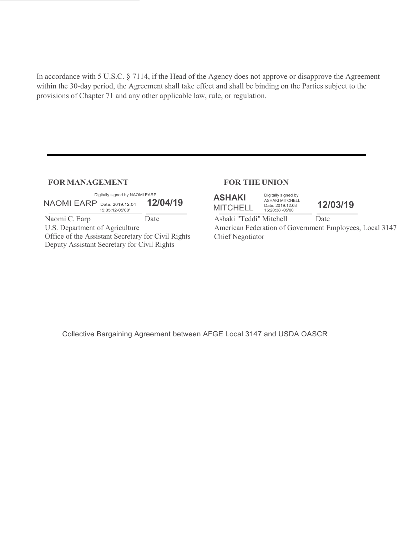In accordance with 5 U.S.C. § 7114, if the Head of the Agency does not approve or disapprove the Agreement within the 30-day period, the Agreement shall take effect and shall be binding on the Parties subject to the provisions of Chapter 71 and any other applicable law, rule, or regulation.

#### **FOR MANAGEMENT FOR THE UNION**

| Digitally signed by NAOMI EARP<br><b>NAOMI EARP</b> Date: 2019.12.04<br>15:05:12-05'00' | 12/04/19 |
|-----------------------------------------------------------------------------------------|----------|
| Naomi C. Earp                                                                           | Date     |
| U.S. Department of Agriculture                                                          |          |
| Office of the Assistant Secretary for Civil Rights                                      |          |
| Deputy Assistant Secretary for Civil Rights                                             |          |

| <b>ASHAKI</b>   | Digitally signed by<br><b>ASHAKI MITCHELL</b> |
|-----------------|-----------------------------------------------|
| <b>MITCHELL</b> | Date: 2019.12.03<br>15:20:38 -05'00'          |

15:20:38 -05'00' **12/03/19**

Ashaki "Teddi" Mitchell Date American Federation of Government Employees, Local 3147 Chief Negotiator

Collective Bargaining Agreement between AFGE Local 3147 and USDA OASCR